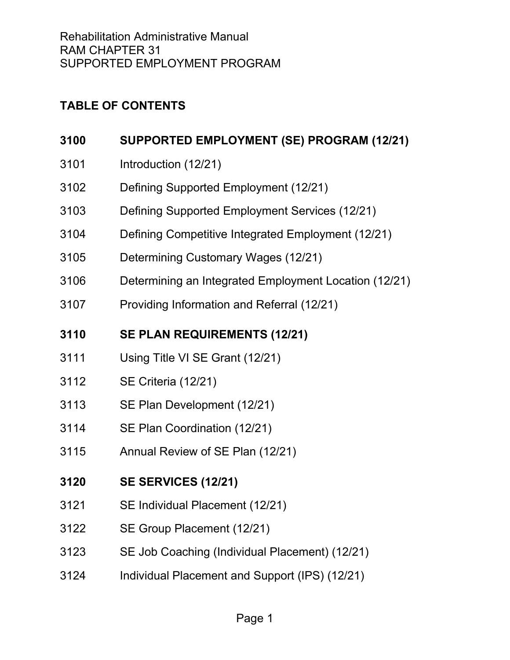# **TABLE OF CONTENTS**

| 3100 | SUPPORTED EMPLOYMENT (SE) PROGRAM (12/21)             |
|------|-------------------------------------------------------|
| 3101 | Introduction (12/21)                                  |
| 3102 | Defining Supported Employment (12/21)                 |
| 3103 | Defining Supported Employment Services (12/21)        |
| 3104 | Defining Competitive Integrated Employment (12/21)    |
| 3105 | Determining Customary Wages (12/21)                   |
| 3106 | Determining an Integrated Employment Location (12/21) |
| 3107 | Providing Information and Referral (12/21)            |
| 3110 | <b>SE PLAN REQUIREMENTS (12/21)</b>                   |
| 3111 | Using Title VI SE Grant (12/21)                       |
| 3112 | SE Criteria (12/21)                                   |
| 3113 | SE Plan Development (12/21)                           |
| 3114 | SE Plan Coordination (12/21)                          |
| 3115 | Annual Review of SE Plan (12/21)                      |
| 3120 | <b>SE SERVICES (12/21)</b>                            |
| 3121 | SE Individual Placement (12/21)                       |
| 3122 | SE Group Placement (12/21)                            |
| 3123 | SE Job Coaching (Individual Placement) (12/21)        |
| 3124 | Individual Placement and Support (IPS) (12/21)        |
|      |                                                       |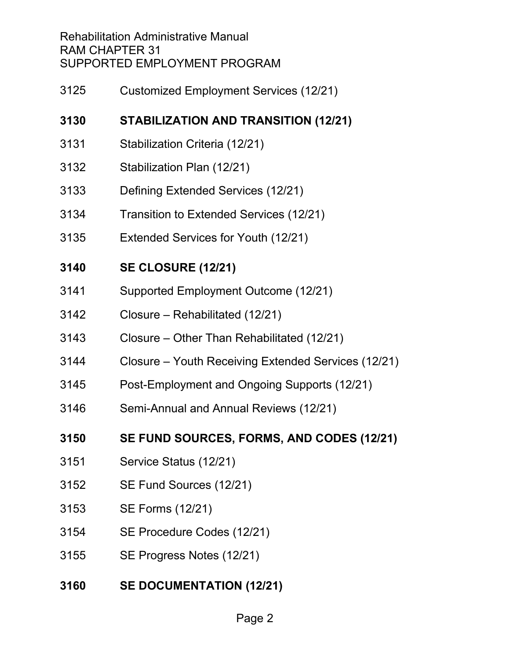Rehabilitation Administrative Manual RAM CHAPTER 31 SUPPORTED EMPLOYMENT PROGRAM

[Customized Employment Services \(12/21\)](#page-31-0)

# **[STABILIZATION AND TRANSITION \(12/21\)](#page-33-0)**

- [Stabilization Criteria \(12/21\)](#page-33-1)
- [Stabilization Plan \(12/21\)](#page-34-0)
- [Defining Extended Services \(12/21\)](#page-35-0)
- [Transition to Extended Services \(12/21\)](#page-37-0)
- Extended [Services for Youth \(12/21\)](#page-37-1)

# **[SE CLOSURE \(12/21\)](#page-39-0)**

- [Supported Employment Outcome \(12/21\)](#page-39-1)
- [Closure Rehabilitated \(12/21\)](#page-40-0)
- [Closure Other Than Rehabilitated \(12/21\)](#page-41-0)
- [Closure Youth Receiving Extended Services \(12/21\)](#page-41-1)
- [Post-Employment and Ongoing Supports \(12/21\)](#page-42-0)
- [Semi-Annual and Annual Reviews \(12/21\)](#page-42-1)
- **[SE FUND SOURCES, FORMS, AND CODES \(12/21\)](#page-44-0)**
- [Service Status \(12/21\)](#page-44-1)
- [SE Fund Sources \(12/21\)](#page-44-2)
- [SE Forms \(12/21\)](#page-45-0)
- [SE Procedure Codes \(12/21\)](#page-46-0)
- [SE Progress Notes \(12/21\)](#page-47-0)
- **[SE DOCUMENTATION \(12/21\)](#page-48-0)**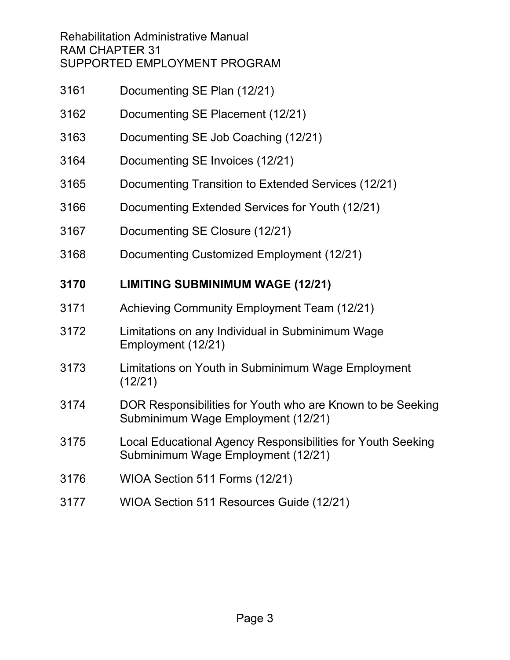Rehabilitation Administrative Manual RAM CHAPTER 31 SUPPORTED EMPLOYMENT PROGRAM

- [Documenting SE Plan \(12/21\)](#page-48-1)
- [Documenting SE Placement \(12/21\)](#page-50-0)
- [Documenting SE Job Coaching \(12/21\)](#page-53-0)
- [Documenting SE Invoices \(12/21\)](#page-55-0)
- [Documenting Transition to Extended Services \(12/21\)](#page-56-0)
- [Documenting Extended Services for Youth \(12/21\)](#page-56-1)
- [Documenting SE Closure \(12/21\)](#page-58-0)
- [Documenting Customized Employment \(12/21\)](#page-59-0)

# **[LIMITING SUBMINIMUM WAGE \(12/21\)](#page-61-0)**

- [Achieving Community Employment Team \(12/21\)](#page-62-0)
- [Limitations on any Individual in Subminimum Wage](#page-62-1)  [Employment \(12/21\)](#page-62-1)
- [Limitations on Youth in Subminimum Wage Employment](#page-63-0)  [\(12/21\)](#page-63-0)
- [DOR Responsibilities for Youth who are Known to be Seeking](#page-64-0)  [Subminimum Wage Employment \(12/21\)](#page-64-0)
- [Local Educational Agency Responsibilities for Youth Seeking](#page-64-1)  [Subminimum Wage Employment \(12/21\)](#page-64-1)
- [WIOA Section 511 Forms \(12/21\)](#page-65-0)
- [WIOA Section 511 Resources Guide \(12/21\)](#page-65-1)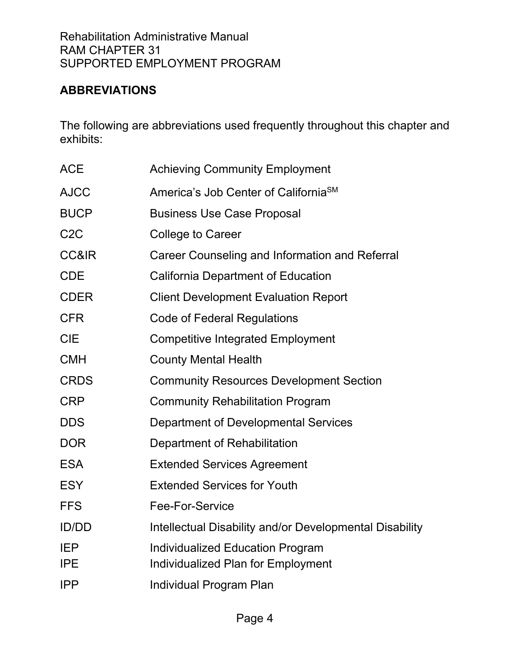# <span id="page-3-0"></span>**ABBREVIATIONS**

The following are abbreviations used frequently throughout this chapter and exhibits:

| <b>ACE</b>               | <b>Achieving Community Employment</b>                                         |
|--------------------------|-------------------------------------------------------------------------------|
| <b>AJCC</b>              | America's Job Center of California <sup>SM</sup>                              |
| <b>BUCP</b>              | <b>Business Use Case Proposal</b>                                             |
| C <sub>2</sub> C         | <b>College to Career</b>                                                      |
| <b>CC&amp;IR</b>         | Career Counseling and Information and Referral                                |
| <b>CDE</b>               | <b>California Department of Education</b>                                     |
| <b>CDER</b>              | <b>Client Development Evaluation Report</b>                                   |
| <b>CFR</b>               | <b>Code of Federal Regulations</b>                                            |
| <b>CIE</b>               | <b>Competitive Integrated Employment</b>                                      |
| <b>CMH</b>               | <b>County Mental Health</b>                                                   |
| <b>CRDS</b>              | <b>Community Resources Development Section</b>                                |
| <b>CRP</b>               | <b>Community Rehabilitation Program</b>                                       |
| <b>DDS</b>               | Department of Developmental Services                                          |
| <b>DOR</b>               | Department of Rehabilitation                                                  |
| <b>ESA</b>               | <b>Extended Services Agreement</b>                                            |
| <b>ESY</b>               | <b>Extended Services for Youth</b>                                            |
| <b>FFS</b>               | <b>Fee-For-Service</b>                                                        |
| <b>ID/DD</b>             | Intellectual Disability and/or Developmental Disability                       |
| <b>IEP</b><br><b>IPE</b> | <b>Individualized Education Program</b><br>Individualized Plan for Employment |
| <b>IPP</b>               | Individual Program Plan                                                       |
|                          |                                                                               |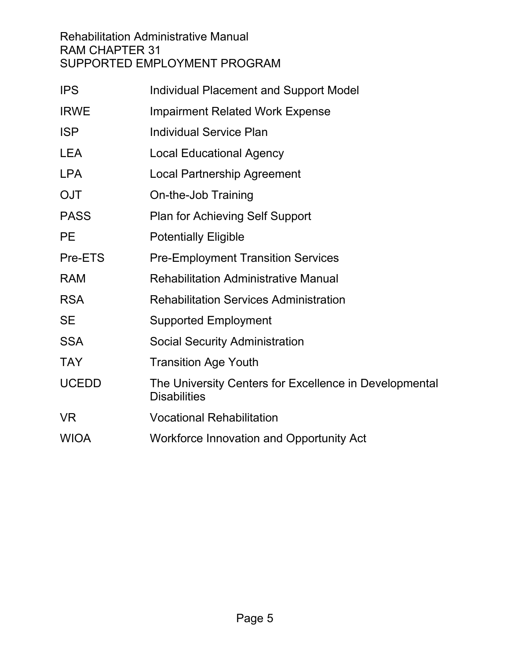Rehabilitation Administrative Manual RAM CHAPTER 31 SUPPORTED EMPLOYMENT PROGRAM

| <b>IPS</b>   | <b>Individual Placement and Support Model</b>                                 |
|--------------|-------------------------------------------------------------------------------|
| <b>IRWE</b>  | <b>Impairment Related Work Expense</b>                                        |
| <b>ISP</b>   | <b>Individual Service Plan</b>                                                |
| <b>LEA</b>   | <b>Local Educational Agency</b>                                               |
| <b>LPA</b>   | <b>Local Partnership Agreement</b>                                            |
| <b>OJT</b>   | On-the-Job Training                                                           |
| <b>PASS</b>  | <b>Plan for Achieving Self Support</b>                                        |
| <b>PE</b>    | <b>Potentially Eligible</b>                                                   |
| Pre-ETS      | <b>Pre-Employment Transition Services</b>                                     |
| <b>RAM</b>   | <b>Rehabilitation Administrative Manual</b>                                   |
| <b>RSA</b>   | <b>Rehabilitation Services Administration</b>                                 |
| <b>SE</b>    | <b>Supported Employment</b>                                                   |
| <b>SSA</b>   | <b>Social Security Administration</b>                                         |
| <b>TAY</b>   | <b>Transition Age Youth</b>                                                   |
| <b>UCEDD</b> | The University Centers for Excellence in Developmental<br><b>Disabilities</b> |
| VR.          | <b>Vocational Rehabilitation</b>                                              |
| <b>WIOA</b>  | <b>Workforce Innovation and Opportunity Act</b>                               |
|              |                                                                               |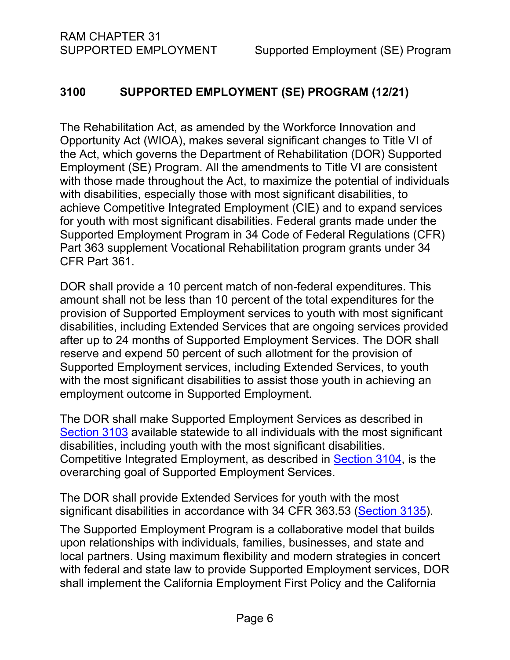# <span id="page-5-0"></span>**3100 SUPPORTED EMPLOYMENT (SE) PROGRAM (12/21)**

The Rehabilitation Act, as amended by the Workforce Innovation and Opportunity Act (WIOA), makes several significant changes to Title VI of the Act, which governs the Department of Rehabilitation (DOR) Supported Employment (SE) Program. All the amendments to Title VI are consistent with those made throughout the Act, to maximize the potential of individuals with disabilities, especially those with most significant disabilities, to achieve Competitive Integrated Employment (CIE) and to expand services for youth with most significant disabilities. Federal grants made under the Supported Employment Program in 34 Code of Federal Regulations (CFR) Part 363 supplement Vocational Rehabilitation program grants under 34 CFR Part 361.

DOR shall provide a 10 percent match of non-federal expenditures. This amount shall not be less than 10 percent of the total expenditures for the provision of Supported Employment services to youth with most significant disabilities, including Extended Services that are ongoing services provided after up to 24 months of Supported Employment Services. The DOR shall reserve and expend 50 percent of such allotment for the provision of Supported Employment services, including Extended Services, to youth with the most significant disabilities to assist those youth in achieving an employment outcome in Supported Employment.

The DOR shall make Supported Employment Services as described in [Section 3103](#page-8-0) available statewide to all individuals with the most significant disabilities, including youth with the most significant disabilities. Competitive Integrated Employment, as described in [Section 3104,](#page-9-0) is the overarching goal of Supported Employment Services.

The DOR shall provide Extended Services for youth with the most significant disabilities in accordance with 34 CFR 363.53 [\(Section 3135\)](#page-37-1).

The Supported Employment Program is a collaborative model that builds upon relationships with individuals, families, businesses, and state and local partners. Using maximum flexibility and modern strategies in concert with federal and state law to provide Supported Employment services, DOR shall implement the California Employment First Policy and the California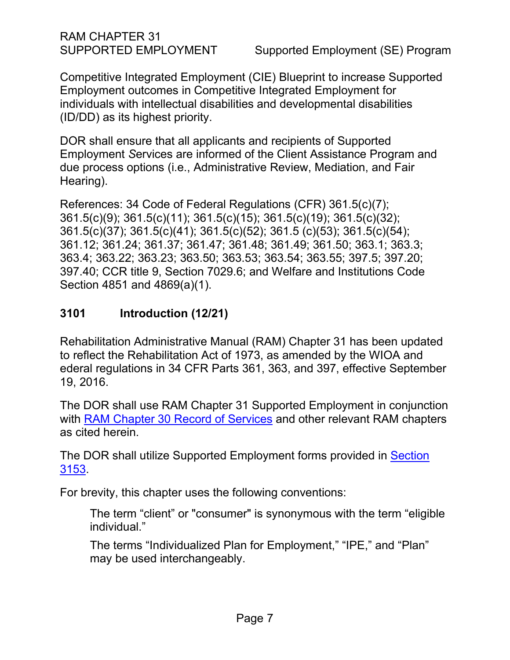RAM CHAPTER 31

SUPPORTED EMPLOYMENT Supported Employment (SE) Program

Competitive Integrated Employment (CIE) Blueprint to increase Supported Employment outcomes in Competitive Integrated Employment for individuals with intellectual disabilities and developmental disabilities (ID/DD) as its highest priority.

DOR shall ensure that all applicants and recipients of Supported Employment *S*ervices are informed of the Client Assistance Program and due process options (i.e., Administrative Review, Mediation, and Fair Hearing).

References: 34 Code of Federal Regulations (CFR) 361.5(c)(7); 361.5(c)(9); 361.5(c)(11); 361.5(c)(15); 361.5(c)(19); 361.5(c)(32); 361.5(c)(37); 361.5(c)(41); 361.5(c)(52); 361.5 (c)(53); 361.5(c)(54); 361.12; 361.24; 361.37; 361.47; 361.48; 361.49; 361.50; 363.1; 363.3; 363.4; 363.22; 363.23; 363.50; 363.53; 363.54; 363.55; 397.5; 397.20; 397.40; CCR title 9, Section 7029.6; and Welfare and Institutions Code Section 4851 and 4869(a)(1).

# <span id="page-6-0"></span>**3101 Introduction (12/21)**

Rehabilitation Administrative Manual (RAM) Chapter 31 has been updated to reflect the Rehabilitation Act of 1973, as amended by the WIOA and ederal regulations in 34 CFR Parts 361, 363, and 397, effective September 19, 2016.

The DOR shall use RAM Chapter 31 Supported Employment in conjunction with [RAM Chapter 30 Record of Services](http://indor/ram/ram30/ram-30-record-of-services) and other relevant RAM chapters as cited herein.

The DOR shall utilize Supported Employment forms provided in Section [3153.](#page-45-0)

For brevity, this chapter uses the following conventions:

The term "client" or "consumer" is synonymous with the term "eligible individual."

The terms "Individualized Plan for Employment," "IPE," and "Plan" may be used interchangeably.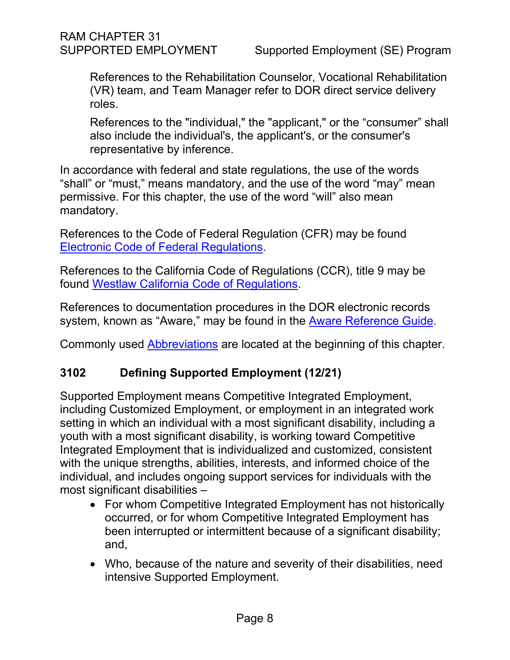References to the Rehabilitation Counselor, Vocational Rehabilitation (VR) team, and Team Manager refer to DOR direct service delivery roles.

References to the "individual," the "applicant," or the "consumer" shall also include the individual's, the applicant's, or the consumer's representative by inference.

In accordance with federal and state regulations, the use of the words "shall" or "must," means mandatory, and the use of the word "may" mean permissive. For this chapter, the use of the word "will" also mean mandatory.

References to the Code of Federal Regulation (CFR) may be found [Electronic Code of Federal Regulations.](https://www.ecfr.gov/cgi-bin/text-idx?SID=783cee0582e850db9c8f5385333f7843&mc=true&tpl=/ecfrbrowse/Title34/34tab_02.tpl)

References to the California Code of Regulations (CCR), title 9 may be found [Westlaw California Code of Regulations.](https://govt.westlaw.com/calregs/Browse/Home/California/CaliforniaCodeofRegulations?guid=I81D8B290D45311DEB97CF67CD0B99467&originationContext=documenttoc&transitionType=Default&contextData=(sc.Default))

References to documentation procedures in the DOR electronic records system, known as "Aware," may be found in the [Aware Reference Guide.](file://dorgroup/Group/Public%20Folder/InDOR%20Documents/Aware/2021_04_09%20-%20Aware%20Reference%20Guide%20v6_9_2.docx)

Commonly used [Abbreviations](#page-3-0) are located at the beginning of this chapter.

# <span id="page-7-0"></span>**3102 Defining Supported Employment (12/21)**

Supported Employment means Competitive Integrated Employment, including Customized Employment, or employment in an integrated work setting in which an individual with a most significant disability, including a youth with a most significant disability, is working toward Competitive Integrated Employment that is individualized and customized, consistent with the unique strengths, abilities, interests, and informed choice of the individual, and includes ongoing support services for individuals with the most significant disabilities –

- For whom Competitive Integrated Employment has not historically occurred, or for whom Competitive Integrated Employment has been interrupted or intermittent because of a significant disability; and,
- Who, because of the nature and severity of their disabilities, need intensive Supported Employment.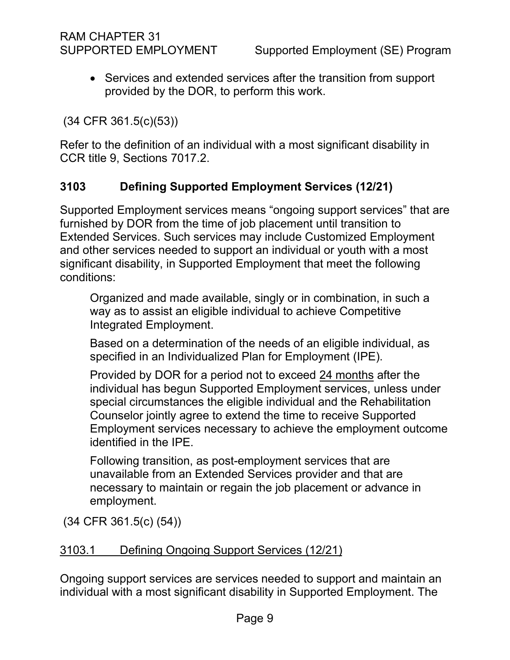• Services and extended services after the transition from support provided by the DOR, to perform this work.

(34 CFR 361.5(c)(53))

Refer to the definition of an individual with a most significant disability in CCR title 9, Sections 7017.2.

# <span id="page-8-0"></span>**3103 Defining Supported Employment Services (12/21)**

Supported Employment services means "ongoing support services" that are furnished by DOR from the time of job placement until transition to Extended Services. Such services may include Customized Employment and other services needed to support an individual or youth with a most significant disability, in Supported Employment that meet the following conditions:

Organized and made available, singly or in combination, in such a way as to assist an eligible individual to achieve Competitive Integrated Employment.

Based on a determination of the needs of an eligible individual, as specified in an Individualized Plan for Employment (IPE).

Provided by DOR for a period not to exceed 24 months after the individual has begun Supported Employment services, unless under special circumstances the eligible individual and the Rehabilitation Counselor jointly agree to extend the time to receive Supported Employment services necessary to achieve the employment outcome identified in the IPE.

Following transition, as post-employment services that are unavailable from an Extended Services provider and that are necessary to maintain or regain the job placement or advance in employment.

(34 CFR 361.5(c) (54))

#### <span id="page-8-1"></span>3103.1 Defining Ongoing Support Services (12/21)

Ongoing support services are services needed to support and maintain an individual with a most significant disability in Supported Employment. The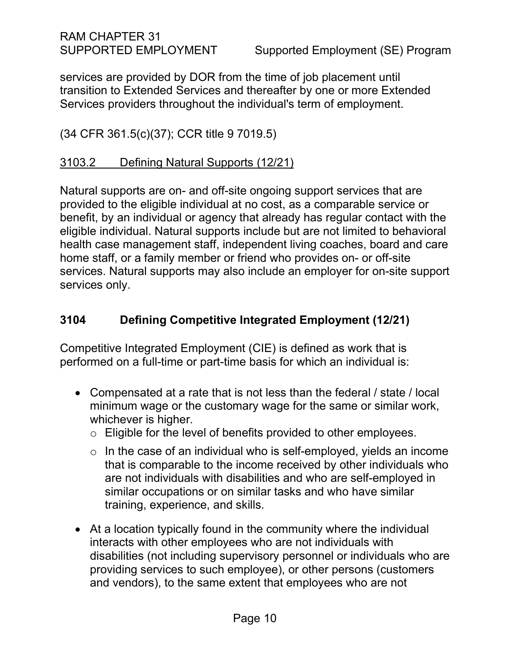RAM CHAPTER 31

services are provided by DOR from the time of job placement until transition to Extended Services and thereafter by one or more Extended Services providers throughout the individual's term of employment.

(34 CFR 361.5(c)(37); CCR title 9 7019.5)

#### 3103.2 Defining Natural Supports (12/21)

Natural supports are on- and off-site ongoing support services that are provided to the eligible individual at no cost, as a comparable service or benefit, by an individual or agency that already has regular contact with the eligible individual. Natural supports include but are not limited to behavioral health case management staff, independent living coaches, board and care home staff, or a family member or friend who provides on- or off-site services. Natural supports may also include an employer for on-site support services only.

# <span id="page-9-0"></span>**3104 Defining Competitive Integrated Employment (12/21)**

Competitive Integrated Employment (CIE) is defined as work that is performed on a full-time or part-time basis for which an individual is:

- Compensated at a rate that is not less than the federal / state / local minimum wage or the customary wage for the same or similar work, whichever is higher.
	- o Eligible for the level of benefits provided to other employees.
	- $\circ$  In the case of an individual who is self-employed, yields an income that is comparable to the income received by other individuals who are not individuals with disabilities and who are self-employed in similar occupations or on similar tasks and who have similar training, experience, and skills.
- At a location typically found in the community where the individual interacts with other employees who are not individuals with disabilities (not including supervisory personnel or individuals who are providing services to such employee), or other persons (customers and vendors), to the same extent that employees who are not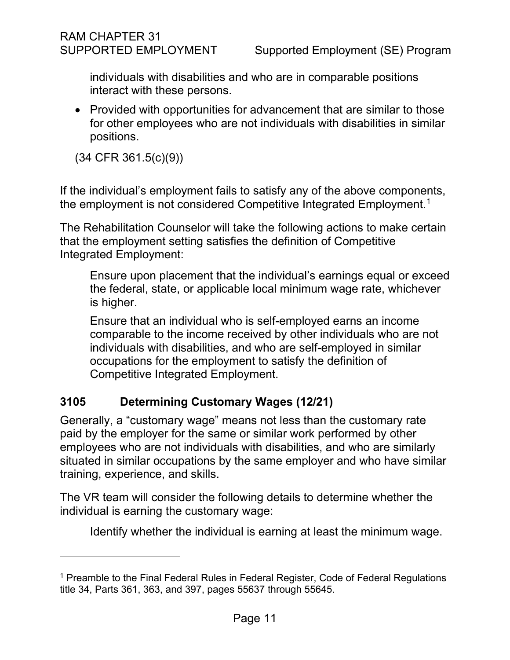individuals with disabilities and who are in comparable positions interact with these persons.

• Provided with opportunities for advancement that are similar to those for other employees who are not individuals with disabilities in similar positions.

(34 CFR 361.5(c)(9))

If the individual's employment fails to satisfy any of the above components, the employment is not considered Competitive Integrated Employment. $^{\rm 1}$  $^{\rm 1}$  $^{\rm 1}$ 

The Rehabilitation Counselor will take the following actions to make certain that the employment setting satisfies the definition of Competitive Integrated Employment:

Ensure upon placement that the individual's earnings equal or exceed the federal, state, or applicable local minimum wage rate, whichever is higher.

Ensure that an individual who is self-employed earns an income comparable to the income received by other individuals who are not individuals with disabilities, and who are self-employed in similar occupations for the employment to satisfy the definition of Competitive Integrated Employment.

# <span id="page-10-0"></span>**3105 Determining Customary Wages (12/21)**

Generally, a "customary wage" means not less than the customary rate paid by the employer for the same or similar work performed by other employees who are not individuals with disabilities, and who are similarly situated in similar occupations by the same employer and who have similar training, experience, and skills.

The VR team will consider the following details to determine whether the individual is earning the customary wage:

Identify whether the individual is earning at least the minimum wage.

<span id="page-10-1"></span><sup>&</sup>lt;sup>1</sup> Preamble to the Final Federal Rules in Federal Register, Code of Federal Regulations title 34, Parts 361, 363, and 397, pages 55637 through 55645.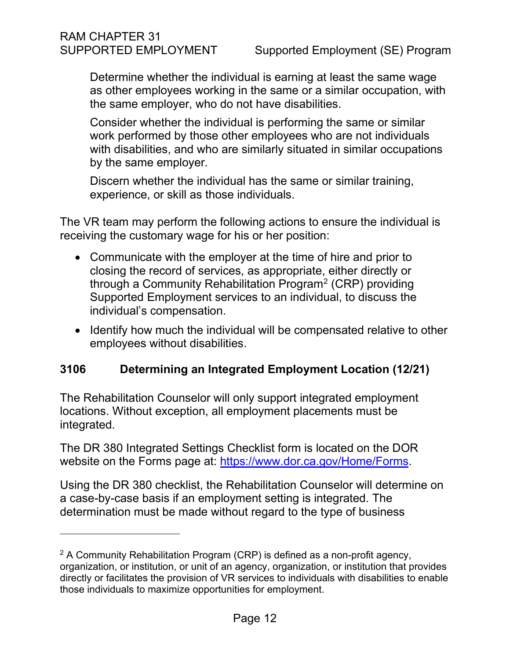Determine whether the individual is earning at least the same wage as other employees working in the same or a similar occupation, with the same employer, who do not have disabilities.

Consider whether the individual is performing the same or similar work performed by those other employees who are not individuals with disabilities, and who are similarly situated in similar occupations by the same employer.

Discern whether the individual has the same or similar training, experience, or skill as those individuals.

The VR team may perform the following actions to ensure the individual is receiving the customary wage for his or her position:

- Communicate with the employer at the time of hire and prior to closing the record of services, as appropriate, either directly or through a Community Rehabilitation Program<sup>[2](#page-11-1)</sup> (CRP) providing Supported Employment services to an individual, to discuss the individual's compensation.
- Identify how much the individual will be compensated relative to other employees without disabilities.

# <span id="page-11-0"></span>**3106 Determining an Integrated Employment Location (12/21)**

The Rehabilitation Counselor will only support integrated employment locations. Without exception, all employment placements must be integrated.

The DR 380 Integrated Settings Checklist form is located on the DOR website on the Forms page at: [https://www.dor.ca.gov/Home/Forms.](https://gcc02.safelinks.protection.outlook.com/?url=https%3A%2F%2Fwww.dor.ca.gov%2FHome%2FForms&data=02%7C01%7CNina.Presmont%40dor.ca.gov%7C0529b3a8eb2a4d2126aa08d863e73705%7C19ed70549d9743c792b16781b6b95b68%7C0%7C0%7C637369191993026227&sdata=Pqe9j9GX1EJKXeCkuWBm%2B09rKQ8bs%2BRr9An%2F2isdM0o%3D&reserved=0)

Using the DR 380 checklist, the Rehabilitation Counselor will determine on a case-by-case basis if an employment setting is integrated. The determination must be made without regard to the type of business

<span id="page-11-1"></span> $2$  A Community Rehabilitation Program (CRP) is defined as a non-profit agency, organization, or institution, or unit of an agency, organization, or institution that provides directly or facilitates the provision of VR services to individuals with disabilities to enable those individuals to maximize opportunities for employment.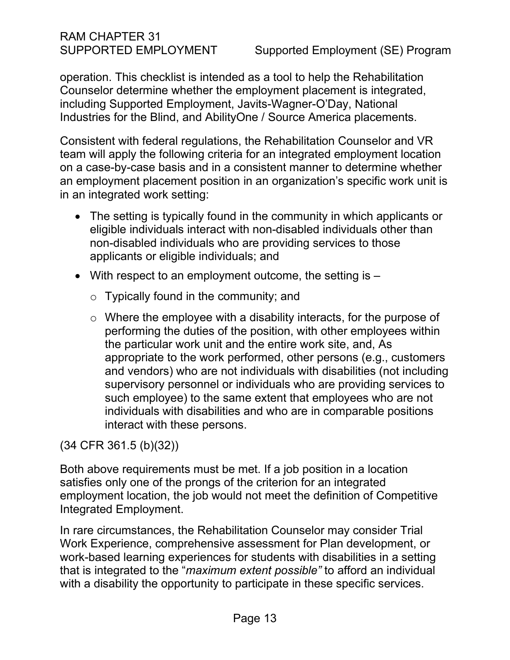# RAM CHAPTER 31

operation. This checklist is intended as a tool to help the Rehabilitation Counselor determine whether the employment placement is integrated, including Supported Employment, Javits-Wagner-O'Day, National Industries for the Blind, and AbilityOne / Source America placements.

Consistent with federal regulations, the Rehabilitation Counselor and VR team will apply the following criteria for an integrated employment location on a case-by-case basis and in a consistent manner to determine whether an employment placement position in an organization's specific work unit is in an integrated work setting:

- The setting is typically found in the community in which applicants or eligible individuals interact with non-disabled individuals other than non-disabled individuals who are providing services to those applicants or eligible individuals; and
- With respect to an employment outcome, the setting is
	- o Typically found in the community; and
	- o Where the employee with a disability interacts, for the purpose of performing the duties of the position, with other employees within the particular work unit and the entire work site, and, As appropriate to the work performed, other persons (e.g., customers and vendors) who are not individuals with disabilities (not including supervisory personnel or individuals who are providing services to such employee) to the same extent that employees who are not individuals with disabilities and who are in comparable positions interact with these persons.

(34 CFR 361.5 (b)(32))

Both above requirements must be met. If a job position in a location satisfies only one of the prongs of the criterion for an integrated employment location, the job would not meet the definition of Competitive Integrated Employment.

In rare circumstances, the Rehabilitation Counselor may consider Trial Work Experience, comprehensive assessment for Plan development, or work-based learning experiences for students with disabilities in a setting that is integrated to the "*maximum extent possible"* to afford an individual with a disability the opportunity to participate in these specific services.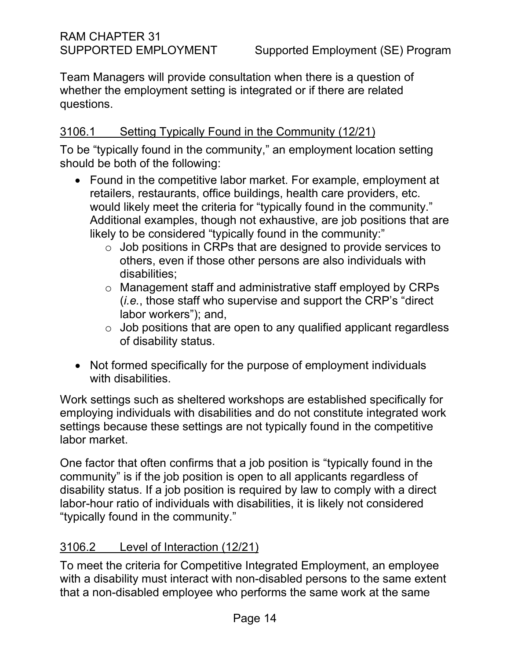Team Managers will provide consultation when there is a question of whether the employment setting is integrated or if there are related questions.

# 3106.1 Setting Typically Found in the Community (12/21)

To be "typically found in the community," an employment location setting should be both of the following:

- Found in the competitive labor market. For example, employment at retailers, restaurants, office buildings, health care providers, etc. would likely meet the criteria for "typically found in the community." Additional examples, though not exhaustive, are job positions that are likely to be considered "typically found in the community:"
	- o Job positions in CRPs that are designed to provide services to others, even if those other persons are also individuals with disabilities;
	- o Management staff and administrative staff employed by CRPs (*i.e.*, those staff who supervise and support the CRP's "direct labor workers"); and,
	- $\circ$  Job positions that are open to any qualified applicant regardless of disability status.
- Not formed specifically for the purpose of employment individuals with disabilities.

Work settings such as sheltered workshops are established specifically for employing individuals with disabilities and do not constitute integrated work settings because these settings are not typically found in the competitive labor market.

One factor that often confirms that a job position is "typically found in the community" is if the job position is open to all applicants regardless of disability status. If a job position is required by law to comply with a direct labor-hour ratio of individuals with disabilities, it is likely not considered "typically found in the community."

# 3106.2 Level of Interaction (12/21)

To meet the criteria for Competitive Integrated Employment, an employee with a disability must interact with non-disabled persons to the same extent that a non-disabled employee who performs the same work at the same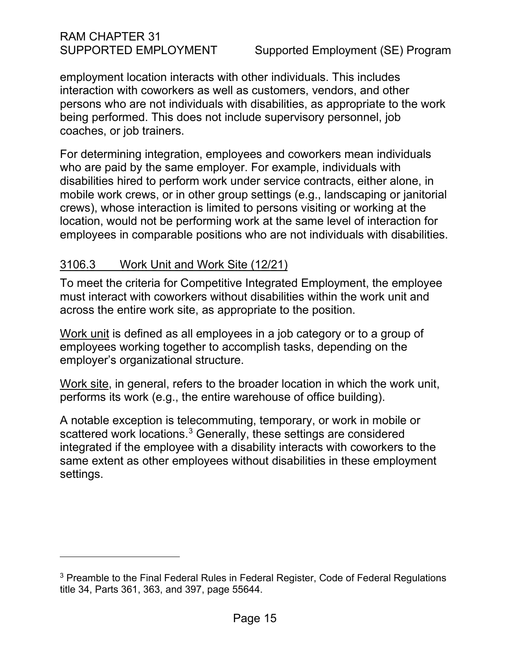RAM CHAPTER 31

employment location interacts with other individuals. This includes interaction with coworkers as well as customers, vendors, and other persons who are not individuals with disabilities, as appropriate to the work being performed. This does not include supervisory personnel, job coaches, or job trainers.

For determining integration, employees and coworkers mean individuals who are paid by the same employer. For example, individuals with disabilities hired to perform work under service contracts, either alone, in mobile work crews, or in other group settings (e.g., landscaping or janitorial crews), whose interaction is limited to persons visiting or working at the location, would not be performing work at the same level of interaction for employees in comparable positions who are not individuals with disabilities.

#### 3106.3 Work Unit and Work Site (12/21)

To meet the criteria for Competitive Integrated Employment, the employee must interact with coworkers without disabilities within the work unit and across the entire work site, as appropriate to the position.

Work unit is defined as all employees in a job category or to a group of employees working together to accomplish tasks, depending on the employer's organizational structure.

Work site, in general, refers to the broader location in which the work unit, performs its work (e.g., the entire warehouse of office building).

A notable exception is telecommuting, temporary, or work in mobile or scattered work locations.<sup>[3](#page-14-0)</sup> Generally, these settings are considered integrated if the employee with a disability interacts with coworkers to the same extent as other employees without disabilities in these employment settings.

<span id="page-14-0"></span><sup>&</sup>lt;sup>3</sup> Preamble to the Final Federal Rules in Federal Register, Code of Federal Regulations title 34, Parts 361, 363, and 397, page 55644.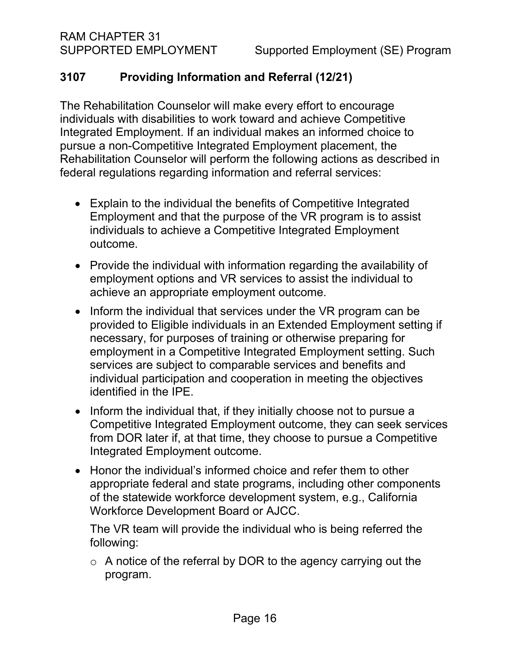# <span id="page-15-0"></span>**3107 Providing Information and Referral (12/21)**

The Rehabilitation Counselor will make every effort to encourage individuals with disabilities to work toward and achieve Competitive Integrated Employment. If an individual makes an informed choice to pursue a non-Competitive Integrated Employment placement, the Rehabilitation Counselor will perform the following actions as described in federal regulations regarding information and referral services:

- Explain to the individual the benefits of Competitive Integrated Employment and that the purpose of the VR program is to assist individuals to achieve a Competitive Integrated Employment outcome.
- Provide the individual with information regarding the availability of employment options and VR services to assist the individual to achieve an appropriate employment outcome.
- Inform the individual that services under the VR program can be provided to Eligible individuals in an Extended Employment setting if necessary, for purposes of training or otherwise preparing for employment in a Competitive Integrated Employment setting. Such services are subject to comparable services and benefits and individual participation and cooperation in meeting the objectives identified in the IPE.
- Inform the individual that, if they initially choose not to pursue a Competitive Integrated Employment outcome, they can seek services from DOR later if, at that time, they choose to pursue a Competitive Integrated Employment outcome.
- Honor the individual's informed choice and refer them to other appropriate federal and state programs, including other components of the statewide workforce development system, e.g., California Workforce Development Board or AJCC.

The VR team will provide the individual who is being referred the following:

o A notice of the referral by DOR to the agency carrying out the program.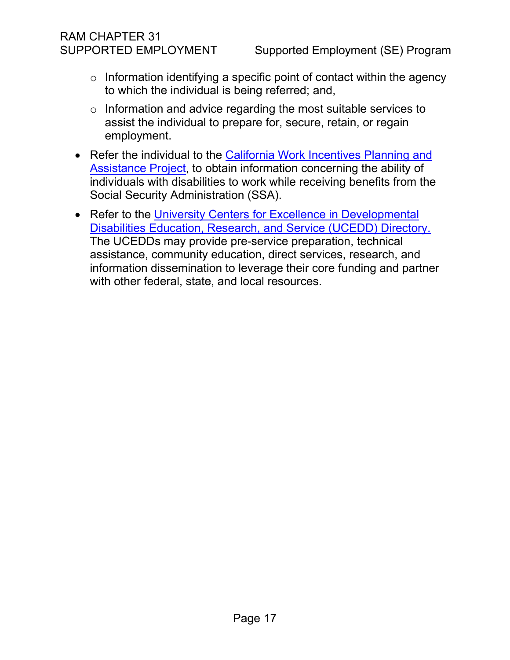# RAM CHAPTER 31

- $\circ$  Information identifying a specific point of contact within the agency to which the individual is being referred; and,
- o Information and advice regarding the most suitable services to assist the individual to prepare for, secure, retain, or regain employment.
- Refer the individual to the California Work Incentives Planning and [Assistance Project,](file://DORGROUP/GROUP/Public%20Folder/InDOR%20Documents/VRPRD/SSPS/Resource%20Library/Lists%20and%20Rosters/CA%20WIPA%20Directory%20-%20Shortcut.lnk) to obtain information concerning the ability of individuals with disabilities to work while receiving benefits from the Social Security Administration (SSA).
- Refer to the University Centers for Excellence in Developmental [Disabilities Education, Research, and Service \(UCEDD\) Directory.](https://www.aucd.org/directory/state.cfm?state=ca&program=UCEDD)  The UCEDDs may provide pre-service preparation, technical assistance, community education, direct services, research, and information dissemination to leverage their core funding and partner with other federal, state, and local resources.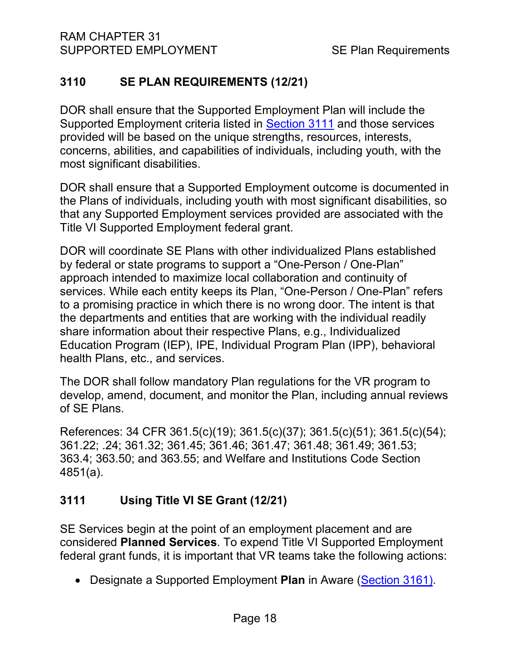# <span id="page-17-0"></span>**3110 SE PLAN REQUIREMENTS (12/21)**

DOR shall ensure that the Supported Employment Plan will include the Supported Employment criteria listed in [Section 3111](#page-17-1) and those services provided will be based on the unique strengths, resources, interests, concerns, abilities, and capabilities of individuals, including youth, with the most significant disabilities.

DOR shall ensure that a Supported Employment outcome is documented in the Plans of individuals, including youth with most significant disabilities, so that any Supported Employment services provided are associated with the Title VI Supported Employment federal grant.

DOR will coordinate SE Plans with other individualized Plans established by federal or state programs to support a "One-Person / One-Plan" approach intended to maximize local collaboration and continuity of services. While each entity keeps its Plan, "One-Person / One-Plan" refers to a promising practice in which there is no wrong door. The intent is that the departments and entities that are working with the individual readily share information about their respective Plans, e.g., Individualized Education Program (IEP), IPE, Individual Program Plan (IPP), behavioral health Plans, etc., and services.

The DOR shall follow mandatory Plan regulations for the VR program to develop, amend, document, and monitor the Plan, including annual reviews of SE Plans.

References: 34 CFR 361.5(c)(19); 361.5(c)(37); 361.5(c)(51); 361.5(c)(54); 361.22; .24; 361.32; 361.45; 361.46; 361.47; 361.48; 361.49; 361.53; 363.4; 363.50; and 363.55; and Welfare and Institutions Code Section 4851(a).

# <span id="page-17-1"></span>**3111 Using Title VI SE Grant (12/21)**

SE Services begin at the point of an employment placement and are considered **Planned Services**. To expend Title VI Supported Employment federal grant funds, it is important that VR teams take the following actions:

• Designate a Supported Employment **Plan** in Aware [\(Section 3161\)](#page-48-1).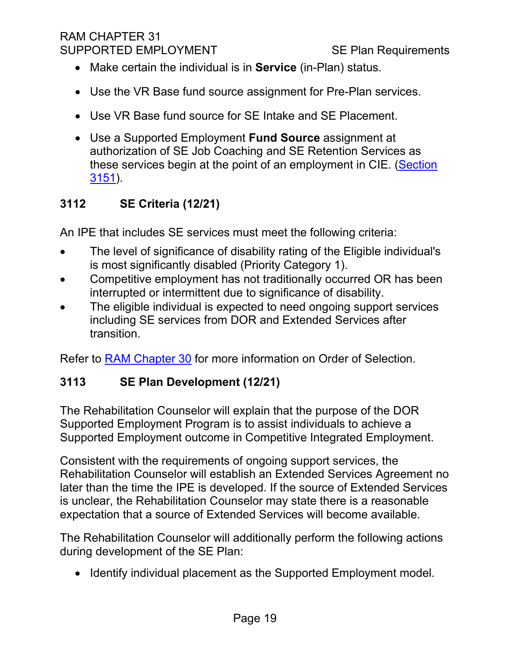- Make certain the individual is in **Service** (in-Plan) status.
- Use the VR Base fund source assignment for Pre-Plan services.
- Use VR Base fund source for SE Intake and SE Placement.
- Use a Supported Employment **Fund Source** assignment at authorization of SE Job Coaching and SE Retention Services as these services begin at the point of an employment in CIE. [\(Section](#page-44-1)  [3151\)](#page-44-1).

# <span id="page-18-0"></span>**3112 SE Criteria (12/21)**

An IPE that includes SE services must meet the following criteria:

- The level of significance of disability rating of the Eligible individual's is most significantly disabled (Priority Category 1).
- Competitive employment has not traditionally occurred OR has been interrupted or intermittent due to significance of disability.
- The eligible individual is expected to need ongoing support services including SE services from DOR and Extended Services after transition.

Refer to [RAM Chapter 30](https://indor/ram/ram30/ram-30-record-of-services) for more information on Order of Selection.

# <span id="page-18-1"></span>**3113 SE Plan Development (12/21)**

The Rehabilitation Counselor will explain that the purpose of the DOR Supported Employment Program is to assist individuals to achieve a Supported Employment outcome in Competitive Integrated Employment.

Consistent with the requirements of ongoing support services, the Rehabilitation Counselor will establish an Extended Services Agreement no later than the time the IPE is developed. If the source of Extended Services is unclear, the Rehabilitation Counselor may state there is a reasonable expectation that a source of Extended Services will become available.

The Rehabilitation Counselor will additionally perform the following actions during development of the SE Plan:

• Identify individual placement as the Supported Employment model.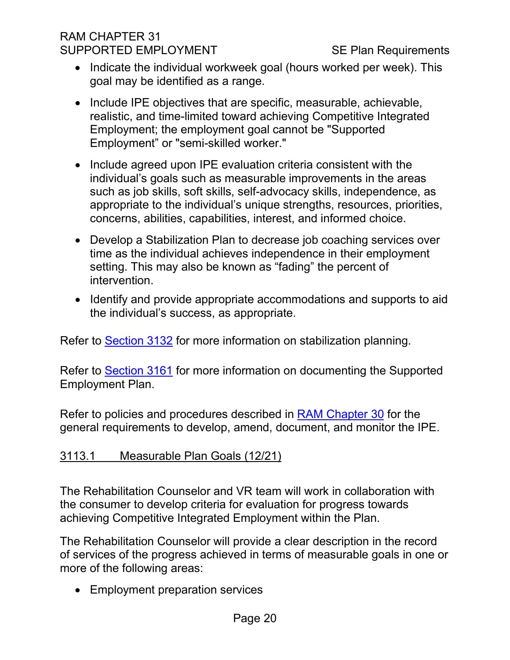- Indicate the individual workweek goal (hours worked per week). This goal may be identified as a range.
- Include IPE objectives that are specific, measurable, achievable, realistic, and time-limited toward achieving Competitive Integrated Employment; the employment goal cannot be "Supported Employment" or "semi-skilled worker."
- Include agreed upon IPE evaluation criteria consistent with the individual's goals such as measurable improvements in the areas such as job skills, soft skills, self-advocacy skills, independence, as appropriate to the individual's unique strengths, resources, priorities, concerns, abilities, capabilities, interest, and informed choice.
- Develop a Stabilization Plan to decrease job coaching services over time as the individual achieves independence in their employment setting. This may also be known as "fading" the percent of intervention.
- Identify and provide appropriate accommodations and supports to aid the individual's success, as appropriate.

Refer to [Section](#page-34-0) 3132 for more information on stabilization planning.

Refer to [Section 3161](#page-48-1) for more information on documenting the Supported Employment Plan.

Refer to policies and procedures described in [RAM Chapter 30](https://indor/ram/ram30/ram-30-record-of-services) for the general requirements to develop, amend, document, and monitor the IPE.

# 3113.1 Measurable Plan Goals (12/21)

The Rehabilitation Counselor and VR team will work in collaboration with the consumer to develop criteria for evaluation for progress towards achieving Competitive Integrated Employment within the Plan.

The Rehabilitation Counselor will provide a clear description in the record of services of the progress achieved in terms of measurable goals in one or more of the following areas:

• Employment preparation services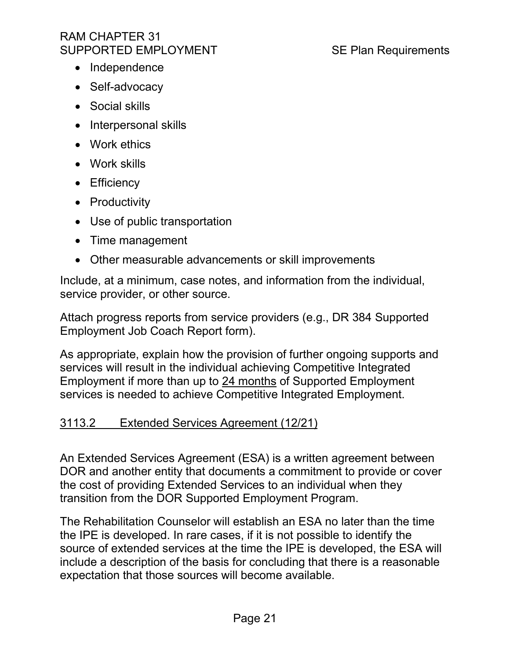- Independence
- Self-advocacy
- Social skills
- Interpersonal skills
- Work ethics
- Work skills
- Efficiency
- Productivity
- Use of public transportation
- Time management
- Other measurable advancements or skill improvements

Include, at a minimum, case notes, and information from the individual, service provider, or other source.

Attach progress reports from service providers (e.g., DR 384 Supported Employment Job Coach Report form).

As appropriate, explain how the provision of further ongoing supports and services will result in the individual achieving Competitive Integrated Employment if more than up to 24 months of Supported Employment services is needed to achieve Competitive Integrated Employment.

# <span id="page-20-0"></span>3113.2 Extended Services Agreement (12/21)

An Extended Services Agreement (ESA) is a written agreement between DOR and another entity that documents a commitment to provide or cover the cost of providing Extended Services to an individual when they transition from the DOR Supported Employment Program.

The Rehabilitation Counselor will establish an ESA no later than the time the IPE is developed. In rare cases, if it is not possible to identify the source of extended services at the time the IPE is developed, the ESA will include a description of the basis for concluding that there is a reasonable expectation that those sources will become available.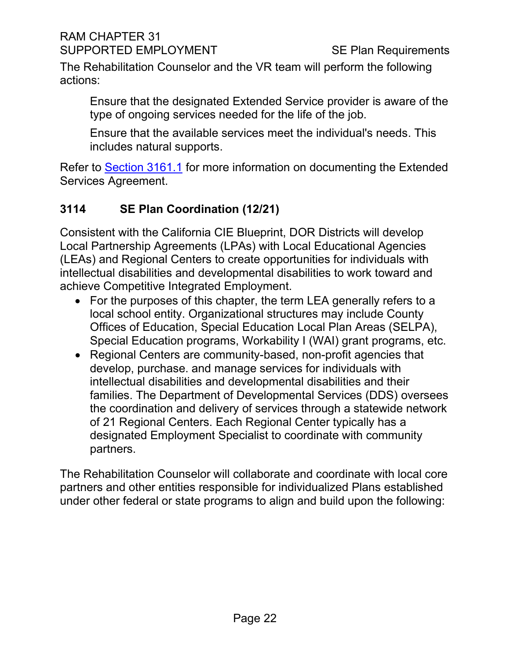The Rehabilitation Counselor and the VR team will perform the following actions:

Ensure that the designated Extended Service provider is aware of the type of ongoing services needed for the life of the job.

Ensure that the available services meet the individual's needs. This includes natural supports.

Refer to [Section 3161.1](#page-49-0) for more information on documenting the Extended Services Agreement.

# <span id="page-21-0"></span>**3114 SE Plan Coordination (12/21)**

Consistent with the California CIE Blueprint, DOR Districts will develop Local Partnership Agreements (LPAs) with Local Educational Agencies (LEAs) and Regional Centers to create opportunities for individuals with intellectual disabilities and developmental disabilities to work toward and achieve Competitive Integrated Employment.

- For the purposes of this chapter, the term LEA generally refers to a local school entity. Organizational structures may include County Offices of Education, Special Education Local Plan Areas (SELPA), Special Education programs, Workability I (WAI) grant programs, etc.
- Regional Centers are community-based, non-profit agencies that develop, purchase. and manage services for individuals with intellectual disabilities and developmental disabilities and their families. The Department of Developmental Services (DDS) oversees the coordination and delivery of services through a statewide network of 21 Regional Centers. Each Regional Center typically has a designated Employment Specialist to coordinate with community partners.

The Rehabilitation Counselor will collaborate and coordinate with local core partners and other entities responsible for individualized Plans established under other federal or state programs to align and build upon the following: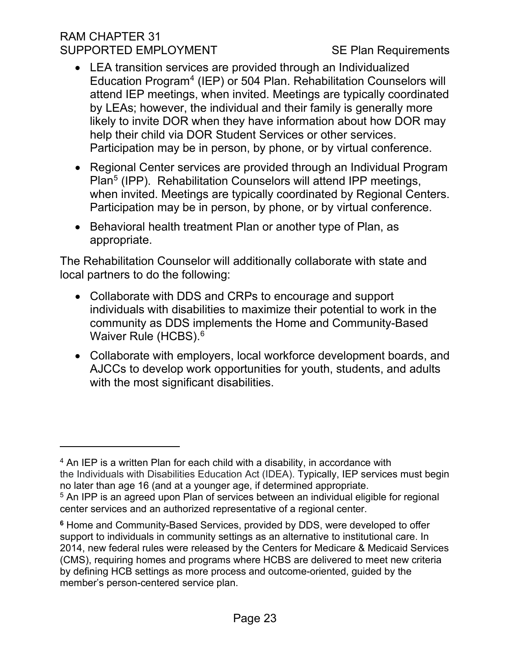- LEA transition services are provided through an Individualized Education Program[4](#page-22-0) (IEP) or 504 Plan. Rehabilitation Counselors will attend IEP meetings, when invited. Meetings are typically coordinated by LEAs; however, the individual and their family is generally more likely to invite DOR when they have information about how DOR may help their child via DOR Student Services or other services. Participation may be in person, by phone, or by virtual conference.
- Regional Center services are provided through an Individual Program Plan[5](#page-22-1) (IPP). Rehabilitation Counselors will attend IPP meetings, when invited. Meetings are typically coordinated by Regional Centers. Participation may be in person, by phone, or by virtual conference.
- Behavioral health treatment Plan or another type of Plan, as appropriate.

The Rehabilitation Counselor will additionally collaborate with state and local partners to do the following:

- Collaborate with DDS and CRPs to encourage and support individuals with disabilities to maximize their potential to work in the community as DDS implements the Home and Community-Based Waiver Rule (HCBS).<sup>[6](#page-22-2)</sup>
- Collaborate with employers, local workforce development boards, and AJCCs to develop work opportunities for youth, students, and adults with the most significant disabilities.

<span id="page-22-0"></span> $4$  An IEP is a written Plan for each child with a disability, in accordance with the Individuals with Disabilities Education Act (IDEA). Typically, IEP services must begin no later than age 16 (and at a younger age, if determined appropriate. <sup>5</sup> An IPP is an agreed upon Plan of services between an individual eligible for regional center services and an authorized representative of a regional center.

<span id="page-22-2"></span><span id="page-22-1"></span>**<sup>6</sup>** Home and Community-Based Services, provided by DDS, were developed to offer support to individuals in community settings as an alternative to institutional care. In 2014, new federal rules were released by the Centers for Medicare & Medicaid Services (CMS), requiring homes and programs where HCBS are delivered to meet new criteria by defining HCB settings as more process and outcome-oriented, guided by the member's person-centered service plan.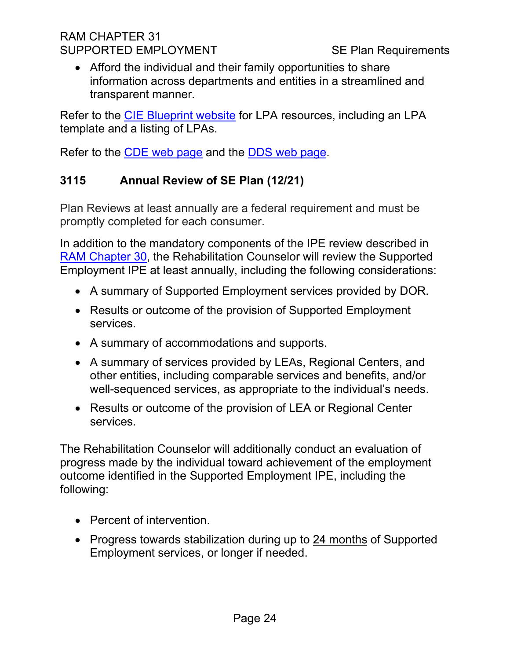• Afford the individual and their family opportunities to share information across departments and entities in a streamlined and transparent manner.

Refer to the [CIE Blueprint website](https://www.chhs.ca.gov/home/cie/) for LPA resources, including an LPA template and a listing of LPAs.

Refer to the [CDE web page](https://www.cde.ca.gov/) and the [DDS web page.](https://dds.ca.gov/)

# <span id="page-23-0"></span>**3115 Annual Review of SE Plan (12/21)**

Plan Reviews at least annually are a federal requirement and must be promptly completed for each consumer.

In addition to the mandatory components of the IPE review described in [RAM Chapter 30,](https://indor/ram/ram30/ram-30-record-of-services) the Rehabilitation Counselor will review the Supported Employment IPE at least annually, including the following considerations:

- A summary of Supported Employment services provided by DOR.
- Results or outcome of the provision of Supported Employment services.
- A summary of accommodations and supports.
- A summary of services provided by LEAs, Regional Centers, and other entities, including comparable services and benefits, and/or well-sequenced services, as appropriate to the individual's needs.
- Results or outcome of the provision of LEA or Regional Center services.

The Rehabilitation Counselor will additionally conduct an evaluation of progress made by the individual toward achievement of the employment outcome identified in the Supported Employment IPE, including the following:

- Percent of intervention.
- Progress towards stabilization during up to 24 months of Supported Employment services, or longer if needed.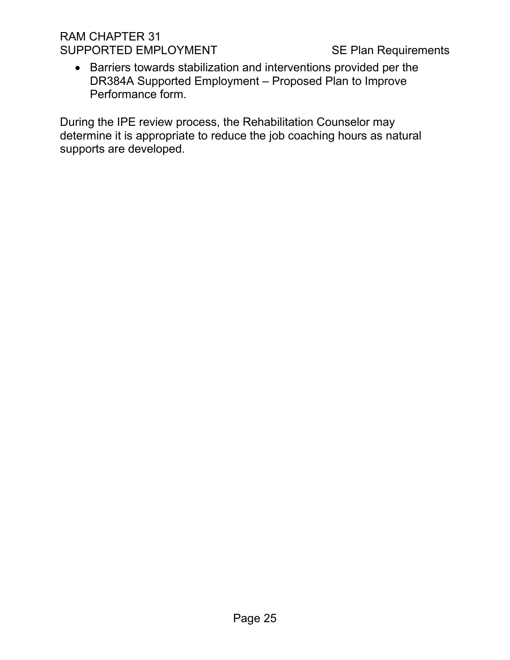• Barriers towards stabilization and interventions provided per the DR384A Supported Employment – Proposed Plan to Improve Performance form.

During the IPE review process, the Rehabilitation Counselor may determine it is appropriate to reduce the job coaching hours as natural supports are developed.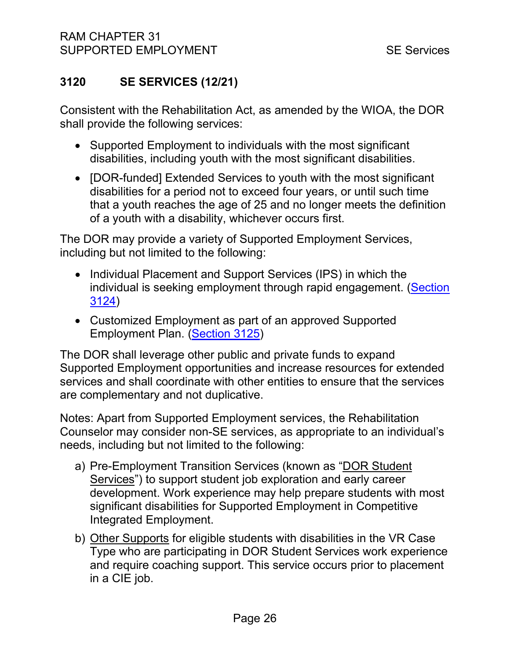# <span id="page-25-0"></span>**3120 SE SERVICES (12/21)**

Consistent with the Rehabilitation Act, as amended by the WIOA, the DOR shall provide the following services:

- Supported Employment to individuals with the most significant disabilities, including youth with the most significant disabilities.
- [DOR-funded] Extended Services to youth with the most significant disabilities for a period not to exceed four years, or until such time that a youth reaches the age of 25 and no longer meets the definition of a youth with a disability, whichever occurs first.

The DOR may provide a variety of Supported Employment Services, including but not limited to the following:

- Individual Placement and Support Services (IPS) in which the individual is seeking employment through rapid engagement. [\(Section](#page-30-0) [3124\)](#page-30-0)
- Customized Employment as part of an approved Supported Employment Plan. [\(Section 3125\)](#page-31-0)

The DOR shall leverage other public and private funds to expand Supported Employment opportunities and increase resources for extended services and shall coordinate with other entities to ensure that the services are complementary and not duplicative.

Notes: Apart from Supported Employment services, the Rehabilitation Counselor may consider non-SE services, as appropriate to an individual's needs, including but not limited to the following:

- a) Pre-Employment Transition Services (known as "DOR Student Services") to support student job exploration and early career development. Work experience may help prepare students with most significant disabilities for Supported Employment in Competitive Integrated Employment.
- b) Other Supports for eligible students with disabilities in the VR Case Type who are participating in DOR Student Services work experience and require coaching support. This service occurs prior to placement in a CIE job.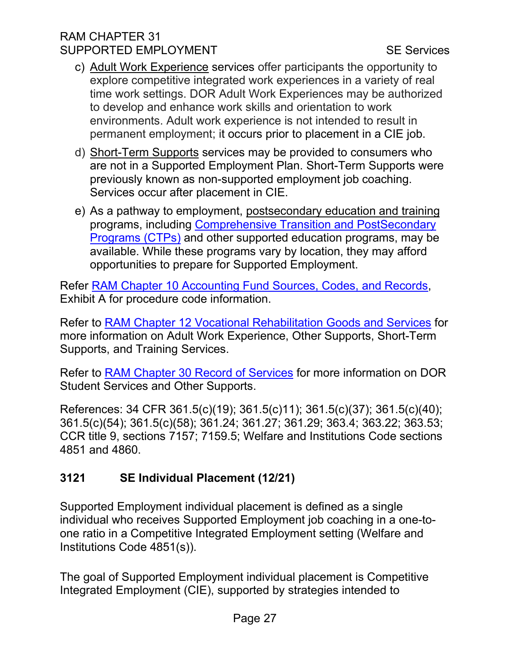- c) Adult Work Experience services offer participants the opportunity to explore competitive integrated work experiences in a variety of real time work settings. DOR Adult Work Experiences may be authorized to develop and enhance work skills and orientation to work environments. Adult work experience is not intended to result in permanent employment; it occurs prior to placement in a CIE job.
- d) Short-Term Supports services may be provided to consumers who are not in a Supported Employment Plan. Short-Term Supports were previously known as non-supported employment job coaching. Services occur after placement in CIE.
- e) As a pathway to employment, postsecondary education and training programs, including [Comprehensive Transition and PostSecondary](https://studentaid.gov/understand-aid/eligibility/requirements/intellectual-disabilities)  [Programs \(CTPs\)](https://studentaid.gov/understand-aid/eligibility/requirements/intellectual-disabilities) and other supported education programs, may be available. While these programs vary by location, they may afford opportunities to prepare for Supported Employment.

Refer [RAM Chapter 10 Accounting Fund Sources, Codes, and Records,](file://DORGROUP/GROUP/Public%20Folder/InDOR%20Documents/RAM/RAM10_Exhibit%20A%20Service%20Categories%20Procedure%20Categories%20and%20Procedure%20Codes.pdf) Exhibit A for procedure code information.

Refer to [RAM Chapter 12 Vocational Rehabilitation Goods and Services](https://indor/ram/ram12/ram-12-vocational-rehabilitation-goods-and-services) for more information on Adult Work Experience, Other Supports, Short-Term Supports, and Training Services.

Refer to [RAM Chapter 30 Record of Services](https://indor/ram/ram30/ram-30-record-of-services) for more information on DOR Student Services and Other Supports.

References: 34 CFR 361.5(c)(19); 361.5(c)11); 361.5(c)(37); 361.5(c)(40); 361.5(c)(54); 361.5(c)(58); 361.24; 361.27; 361.29; 363.4; 363.22; 363.53; CCR title 9, sections 7157; 7159.5; Welfare and Institutions Code sections 4851 and 4860.

# <span id="page-26-0"></span>**3121 SE Individual Placement (12/21)**

Supported Employment individual placement is defined as a single individual who receives Supported Employment job coaching in a one-toone ratio in a Competitive Integrated Employment setting (Welfare and Institutions Code 4851(s)).

The goal of Supported Employment individual placement is Competitive Integrated Employment (CIE), supported by strategies intended to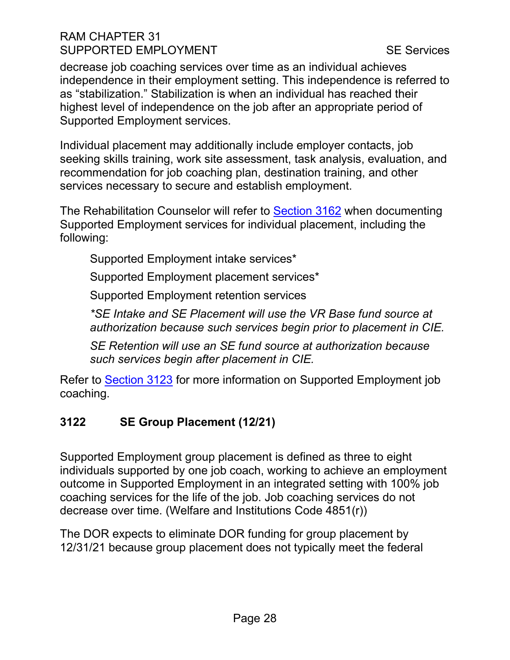decrease job coaching services over time as an individual achieves independence in their employment setting. This independence is referred to as "stabilization." Stabilization is when an individual has reached their highest level of independence on the job after an appropriate period of Supported Employment services.

Individual placement may additionally include employer contacts, job seeking skills training, work site assessment, task analysis, evaluation, and recommendation for job coaching plan, destination training, and other services necessary to secure and establish employment.

The Rehabilitation Counselor will refer to [Section 3162](#page-50-0) when documenting Supported Employment services for individual placement, including the following:

Supported Employment intake services\*

Supported Employment placement services\*

Supported Employment retention services

*\*SE Intake and SE Placement will use the VR Base fund source at authorization because such services begin prior to placement in CIE.* 

*SE Retention will use an SE fund source at authorization because such services begin after placement in CIE.*

Refer to [Section 3123](#page-28-0) for more information on Supported Employment job coaching.

# <span id="page-27-0"></span>**3122 SE Group Placement (12/21)**

Supported Employment group placement is defined as three to eight individuals supported by one job coach, working to achieve an employment outcome in Supported Employment in an integrated setting with 100% job coaching services for the life of the job. Job coaching services do not decrease over time. (Welfare and Institutions Code 4851(r))

The DOR expects to eliminate DOR funding for group placement by 12/31/21 because group placement does not typically meet the federal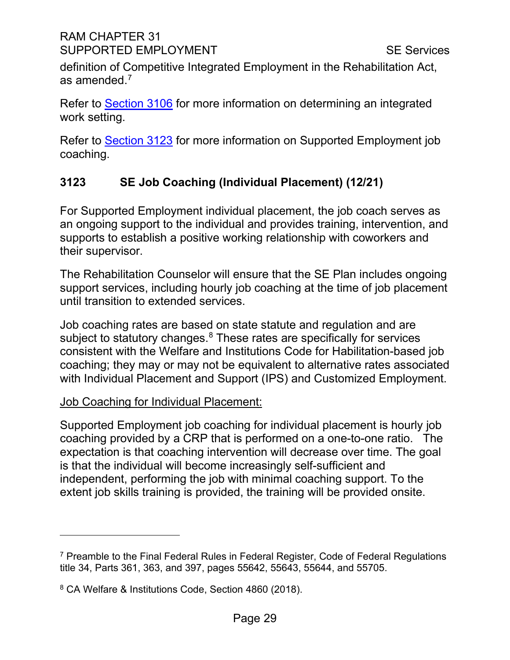definition of Competitive Integrated Employment in the Rehabilitation Act, as amended. $^7$  $^7$ 

Refer to [Section](#page-11-0) 3106 for more information on determining an integrated work setting.

Refer to [Section 3123](#page-28-0) for more information on Supported Employment job coaching.

# <span id="page-28-0"></span>**3123 SE Job Coaching (Individual Placement) (12/21)**

For Supported Employment individual placement, the job coach serves as an ongoing support to the individual and provides training, intervention, and supports to establish a positive working relationship with coworkers and their supervisor.

The Rehabilitation Counselor will ensure that the SE Plan includes ongoing support services, including hourly job coaching at the time of job placement until transition to extended services.

Job coaching rates are based on state statute and regulation and are subject to statutory changes.<sup>[8](#page-28-2)</sup> These rates are specifically for services consistent with the Welfare and Institutions Code for Habilitation-based job coaching; they may or may not be equivalent to alternative rates associated with Individual Placement and Support (IPS) and Customized Employment.

# Job Coaching for Individual Placement:

Supported Employment job coaching for individual placement is hourly job coaching provided by a CRP that is performed on a one-to-one ratio. The expectation is that coaching intervention will decrease over time. The goal is that the individual will become increasingly self-sufficient and independent, performing the job with minimal coaching support. To the extent job skills training is provided, the training will be provided onsite.

<span id="page-28-1"></span><sup>7</sup> Preamble to the Final Federal Rules in Federal Register, Code of Federal Regulations title 34, Parts 361, 363, and 397, pages 55642, 55643, 55644, and 55705.

<span id="page-28-2"></span><sup>8</sup> CA Welfare & Institutions Code, Section 4860 (2018).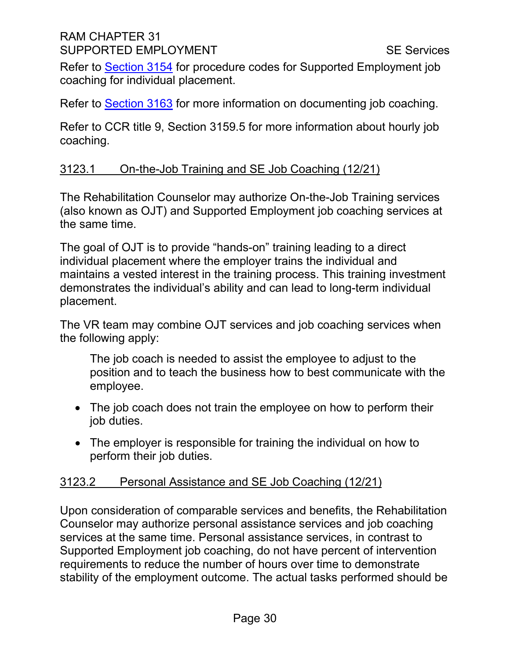Refer to [Section 3154](#page-46-0) for procedure codes for Supported Employment job coaching for individual placement.

Refer to [Section 3163](#page-53-0) for more information on documenting job coaching.

Refer to CCR title 9, Section 3159.5 for more information about hourly job coaching.

#### 3123.1 On-the-Job Training and SE Job Coaching (12/21)

The Rehabilitation Counselor may authorize On-the-Job Training services (also known as OJT) and Supported Employment job coaching services at the same time.

The goal of OJT is to provide "hands-on" training leading to a direct individual placement where the employer trains the individual and maintains a vested interest in the training process. This training investment demonstrates the individual's ability and can lead to long-term individual placement.

The VR team may combine OJT services and job coaching services when the following apply:

The job coach is needed to assist the employee to adjust to the position and to teach the business how to best communicate with the employee.

- The job coach does not train the employee on how to perform their job duties.
- The employer is responsible for training the individual on how to perform their job duties.

# 3123.2 Personal Assistance and SE Job Coaching (12/21)

Upon consideration of comparable services and benefits, the Rehabilitation Counselor may authorize personal assistance services and job coaching services at the same time. Personal assistance services, in contrast to Supported Employment job coaching, do not have percent of intervention requirements to reduce the number of hours over time to demonstrate stability of the employment outcome. The actual tasks performed should be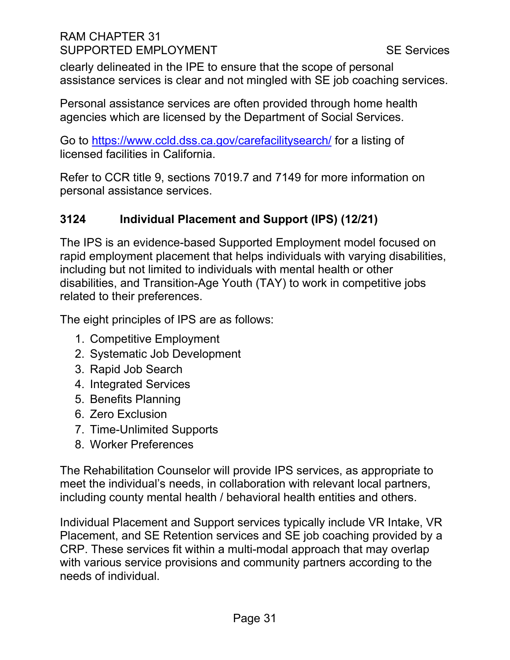clearly delineated in the IPE to ensure that the scope of personal assistance services is clear and not mingled with SE job coaching services.

Personal assistance services are often provided through home health agencies which are licensed by the Department of Social Services.

Go to<https://www.ccld.dss.ca.gov/carefacilitysearch/> for a listing of licensed facilities in California.

Refer to CCR title 9, sections 7019.7 and 7149 for more information on personal assistance services.

# <span id="page-30-0"></span>**3124 Individual Placement and Support (IPS) (12/21)**

The IPS is an evidence-based Supported Employment model focused on rapid employment placement that helps individuals with varying disabilities, including but not limited to individuals with mental health or other disabilities, and Transition-Age Youth (TAY) to work in competitive jobs related to their preferences.

The eight principles of IPS are as follows:

- 1. Competitive Employment
- 2. Systematic Job Development
- 3. Rapid Job Search
- 4. Integrated Services
- 5. Benefits Planning
- 6. Zero Exclusion
- 7. Time-Unlimited Supports
- 8. Worker Preferences

The Rehabilitation Counselor will provide IPS services, as appropriate to meet the individual's needs, in collaboration with relevant local partners, including county mental health / behavioral health entities and others.

Individual Placement and Support services typically include VR Intake, VR Placement, and SE Retention services and SE job coaching provided by a CRP. These services fit within a multi-modal approach that may overlap with various service provisions and community partners according to the needs of individual.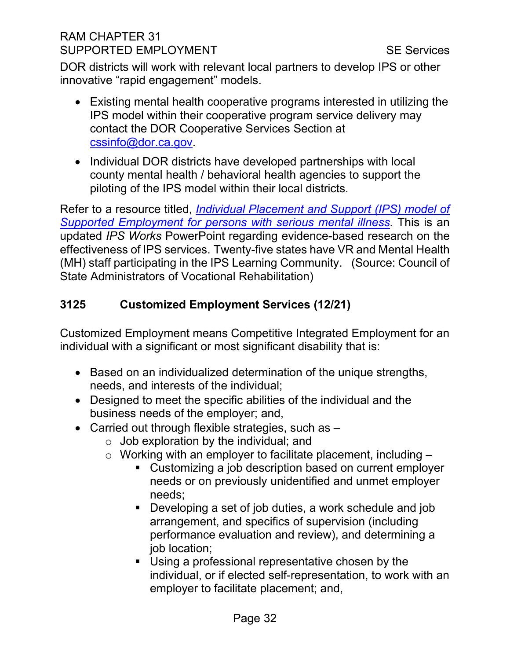DOR districts will work with relevant local partners to develop IPS or other innovative "rapid engagement" models.

- Existing mental health cooperative programs interested in utilizing the IPS model within their cooperative program service delivery may contact the DOR Cooperative Services Section at [cssinfo@dor.ca.gov.](mailto:cssinfo@dor.ca.gov)
- Individual DOR districts have developed partnerships with local county mental health / behavioral health agencies to support the piloting of the IPS model within their local districts.

Refer to a resource titled, *[Individual Placement and Support \(IPS\) model of](https://www.csavr.org/references-links-publications)  [Supported Employment for persons with serious mental illness.](https://www.csavr.org/references-links-publications)* This is an updated *IPS Works* PowerPoint regarding evidence-based research on the effectiveness of IPS services. Twenty-five states have VR and Mental Health (MH) staff participating in the IPS Learning Community. (Source: Council of State Administrators of Vocational Rehabilitation)

# <span id="page-31-0"></span>**3125 Customized Employment Services (12/21)**

Customized Employment means Competitive Integrated Employment for an individual with a significant or most significant disability that is:

- Based on an individualized determination of the unique strengths, needs, and interests of the individual;
- Designed to meet the specific abilities of the individual and the business needs of the employer; and,
- Carried out through flexible strategies, such as
	- $\circ$  Job exploration by the individual; and
	- $\circ$  Working with an employer to facilitate placement, including  $-$ 
		- Customizing a job description based on current employer needs or on previously unidentified and unmet employer needs;
		- Developing a set of job duties, a work schedule and job arrangement, and specifics of supervision (including performance evaluation and review), and determining a job location;
		- Using a professional representative chosen by the individual, or if elected self-representation, to work with an employer to facilitate placement; and,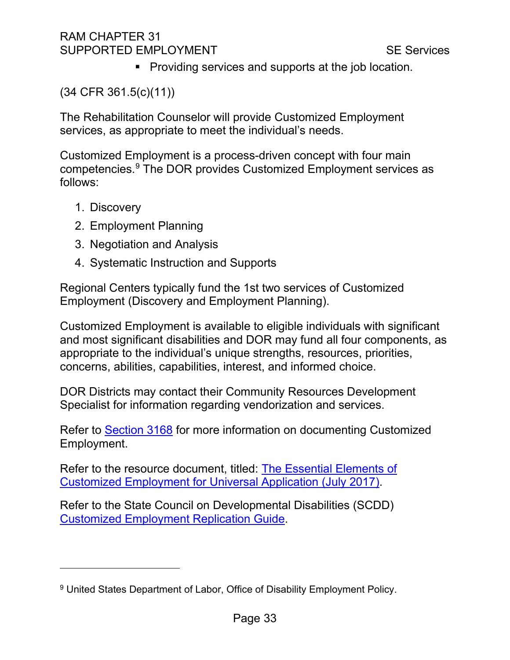**Providing services and supports at the job location.** 

(34 CFR 361.5(c)(11))

The Rehabilitation Counselor will provide Customized Employment services, as appropriate to meet the individual's needs.

Customized Employment is a process-driven concept with four main competencies.[9](#page-32-0) The DOR provides Customized Employment services as follows:

- 1. Discovery
- 2. Employment Planning
- 3. Negotiation and Analysis
- 4. Systematic Instruction and Supports

Regional Centers typically fund the 1st two services of Customized Employment (Discovery and Employment Planning).

Customized Employment is available to eligible individuals with significant and most significant disabilities and DOR may fund all four components, as appropriate to the individual's unique strengths, resources, priorities, concerns, abilities, capabilities, interest, and informed choice.

DOR Districts may contact their Community Resources Development Specialist for information regarding vendorization and services.

Refer to [Section 3168](#page-59-0) for more information on documenting Customized Employment.

Refer to the resource document, titled: [The Essential Elements of](file://Dorgroup/group/Public%20Folder/Supported%20Employment%20Reference%20Materials/SEP%20Liaisons/Meetings/2020%20December%20Meeting%20Materials/Essential-Elements-of-Customized-Employment-for-Universal-Application%20(0....pdf)  Customized Employment [for Universal Application \(July 2017\).](file://Dorgroup/group/Public%20Folder/Supported%20Employment%20Reference%20Materials/SEP%20Liaisons/Meetings/2020%20December%20Meeting%20Materials/Essential-Elements-of-Customized-Employment-for-Universal-Application%20(0....pdf)

Refer to the State Council on Developmental Disabilities (SCDD) [Customized Employment Replication Guide.](https://www.easterseals.com/southerncal/our-programs/employment-training/)

<span id="page-32-0"></span><sup>&</sup>lt;sup>9</sup> United States Department of Labor, Office of Disability Employment Policy.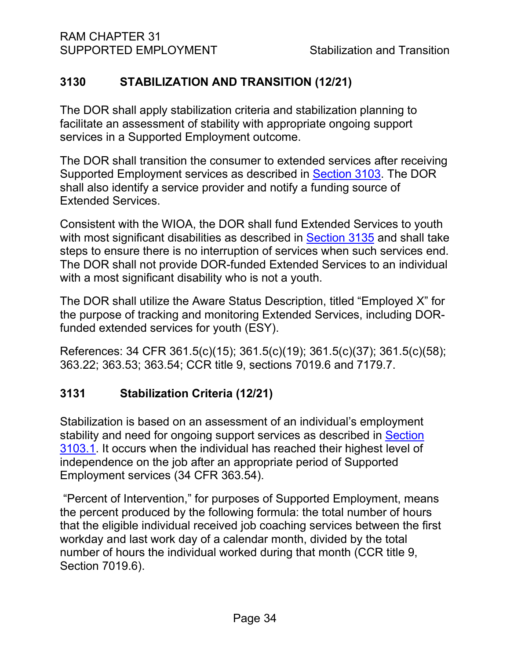# <span id="page-33-0"></span>**3130 STABILIZATION AND TRANSITION (12/21)**

The DOR shall apply stabilization criteria and stabilization planning to facilitate an assessment of stability with appropriate ongoing support services in a Supported Employment outcome.

The DOR shall transition the consumer to extended services after receiving Supported Employment services as described in [Section 3103.](#page-8-0) The DOR shall also identify a service provider and notify a funding source of Extended Services.

Consistent with the WIOA, the DOR shall fund Extended Services to youth with most significant disabilities as described in [Section 3135](#page-37-1) and shall take steps to ensure there is no interruption of services when such services end. The DOR shall not provide DOR-funded Extended Services to an individual with a most significant disability who is not a youth.

The DOR shall utilize the Aware Status Description, titled "Employed X" for the purpose of tracking and monitoring Extended Services, including DORfunded extended services for youth (ESY).

References: 34 CFR 361.5(c)(15); 361.5(c)(19); 361.5(c)(37); 361.5(c)(58); 363.22; 363.53; 363.54; CCR title 9, sections 7019.6 and 7179.7.

# <span id="page-33-1"></span>**3131 Stabilization Criteria (12/21)**

Stabilization is based on an assessment of an individual's employment stability and need for ongoing support services as described in [Section](#page-8-1)  [3103.1.](#page-8-1) It occurs when the individual has reached their highest level of independence on the job after an appropriate period of Supported Employment services (34 CFR 363.54).

"Percent of Intervention," for purposes of Supported Employment, means the percent produced by the following formula: the total number of hours that the eligible individual received job coaching services between the first workday and last work day of a calendar month, divided by the total number of hours the individual worked during that month (CCR title 9, Section 7019.6).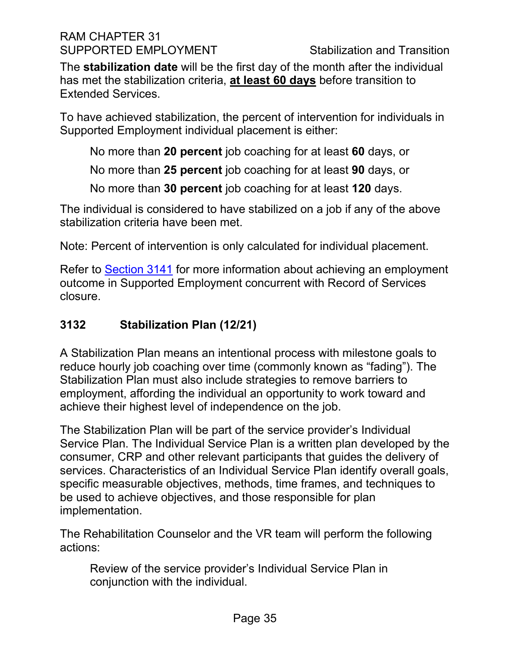The **stabilization date** will be the first day of the month after the individual has met the stabilization criteria, **at least 60 days** before transition to Extended Services.

To have achieved stabilization, the percent of intervention for individuals in Supported Employment individual placement is either:

No more than **20 percent** job coaching for at least **60** days, or

No more than **25 percent** job coaching for at least **90** days, or

No more than **30 percent** job coaching for at least **120** days.

The individual is considered to have stabilized on a job if any of the above stabilization criteria have been met.

Note: Percent of intervention is only calculated for individual placement.

Refer to [Section 3141](#page-39-1) for more information about achieving an employment outcome in Supported Employment concurrent with Record of Services closure.

# <span id="page-34-0"></span>**3132 Stabilization Plan (12/21)**

A Stabilization Plan means an intentional process with milestone goals to reduce hourly job coaching over time (commonly known as "fading"). The Stabilization Plan must also include strategies to remove barriers to employment, affording the individual an opportunity to work toward and achieve their highest level of independence on the job.

The Stabilization Plan will be part of the service provider's Individual Service Plan. The Individual Service Plan is a written plan developed by the consumer, CRP and other relevant participants that guides the delivery of services. Characteristics of an Individual Service Plan identify overall goals, specific measurable objectives, methods, time frames, and techniques to be used to achieve objectives, and those responsible for plan implementation.

The Rehabilitation Counselor and the VR team will perform the following actions:

Review of the service provider's Individual Service Plan in conjunction with the individual.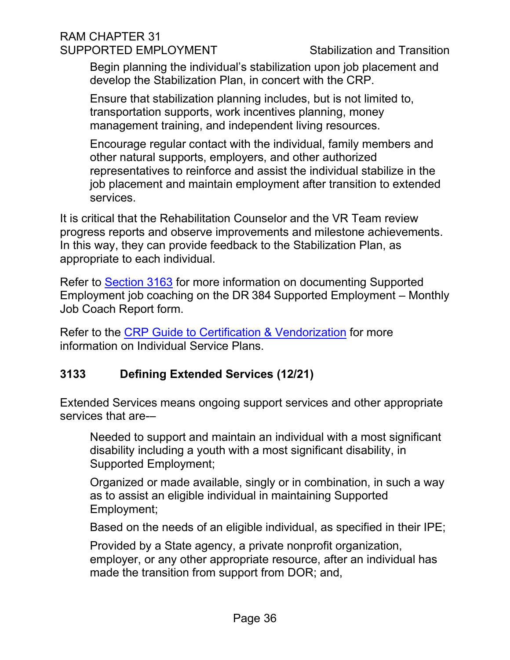Begin planning the individual's stabilization upon job placement and develop the Stabilization Plan, in concert with the CRP.

Ensure that stabilization planning includes, but is not limited to, transportation supports, work incentives planning, money management training, and independent living resources.

Encourage regular contact with the individual, family members and other natural supports, employers, and other authorized representatives to reinforce and assist the individual stabilize in the job placement and maintain employment after transition to extended services.

It is critical that the Rehabilitation Counselor and the VR Team review progress reports and observe improvements and milestone achievements. In this way, they can provide feedback to the Stabilization Plan, as appropriate to each individual.

Refer to [Section 3163](#page-53-0) for more information on documenting Supported Employment job coaching on the DR 384 Supported Employment – Monthly Job Coach Report form.

Refer to the [CRP Guide to Certification & Vendorization](file://DORGROUP/GROUP/Public%20Folder/InDOR%20Documents/VRPRD/CRD/CRPs/CRP%20Forms%20and%20Documents/CRP%20Guide%20to%20Certification%20and%20Vendorization%20May%202020%20PDF.pdf) for more information on Individual Service Plans.

# <span id="page-35-0"></span>**3133 Defining Extended Services (12/21)**

Extended Services means ongoing support services and other appropriate services that are-–

Needed to support and maintain an individual with a most significant disability including a youth with a most significant disability, in Supported Employment;

Organized or made available, singly or in combination, in such a way as to assist an eligible individual in maintaining Supported Employment;

Based on the needs of an eligible individual, as specified in their IPE;

Provided by a State agency, a private nonprofit organization, employer, or any other appropriate resource, after an individual has made the transition from support from DOR; and,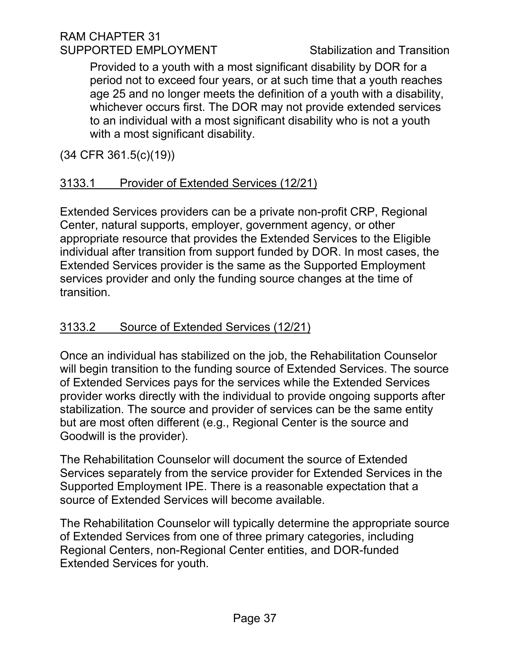Provided to a youth with a most significant disability by DOR for a period not to exceed four years, or at such time that a youth reaches age 25 and no longer meets the definition of a youth with a disability, whichever occurs first. The DOR may not provide extended services to an individual with a most significant disability who is not a youth with a most significant disability.

(34 CFR 361.5(c)(19))

# 3133.1 Provider of Extended Services (12/21)

Extended Services providers can be a private non-profit CRP, Regional Center, natural supports, employer, government agency, or other appropriate resource that provides the Extended Services to the Eligible individual after transition from support funded by DOR. In most cases, the Extended Services provider is the same as the Supported Employment services provider and only the funding source changes at the time of transition.

# 3133.2 Source of Extended Services (12/21)

Once an individual has stabilized on the job, the Rehabilitation Counselor will begin transition to the funding source of Extended Services. The source of Extended Services pays for the services while the Extended Services provider works directly with the individual to provide ongoing supports after stabilization. The source and provider of services can be the same entity but are most often different (e.g., Regional Center is the source and Goodwill is the provider).

The Rehabilitation Counselor will document the source of Extended Services separately from the service provider for Extended Services in the Supported Employment IPE. There is a reasonable expectation that a source of Extended Services will become available.

The Rehabilitation Counselor will typically determine the appropriate source of Extended Services from one of three primary categories, including Regional Centers, non-Regional Center entities, and DOR-funded Extended Services for youth.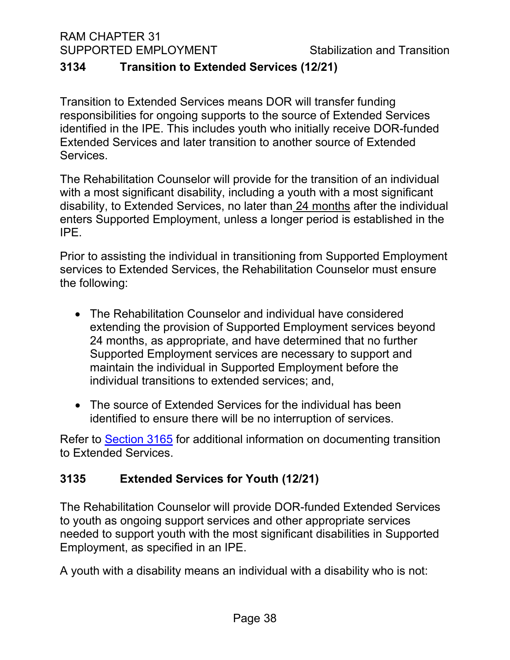#### <span id="page-37-0"></span>**3134 Transition to Extended Services (12/21)**

Transition to Extended Services means DOR will transfer funding responsibilities for ongoing supports to the source of Extended Services identified in the IPE. This includes youth who initially receive DOR-funded Extended Services and later transition to another source of Extended Services.

The Rehabilitation Counselor will provide for the transition of an individual with a most significant disability, including a youth with a most significant disability, to Extended Services, no later than 24 months after the individual enters Supported Employment, unless a longer period is established in the IPE.

Prior to assisting the individual in transitioning from Supported Employment services to Extended Services, the Rehabilitation Counselor must ensure the following:

- The Rehabilitation Counselor and individual have considered extending the provision of Supported Employment services beyond 24 months, as appropriate, and have determined that no further Supported Employment services are necessary to support and maintain the individual in Supported Employment before the individual transitions to extended services; and,
- The source of Extended Services for the individual has been identified to ensure there will be no interruption of services.

Refer to [Section 3165](#page-56-0) for additional information on documenting transition to Extended Services.

# <span id="page-37-1"></span>**3135 Extended Services for Youth (12/21)**

The Rehabilitation Counselor will provide DOR-funded Extended Services to youth as ongoing support services and other appropriate services needed to support youth with the most significant disabilities in Supported Employment, as specified in an IPE.

A youth with a disability means an individual with a disability who is not: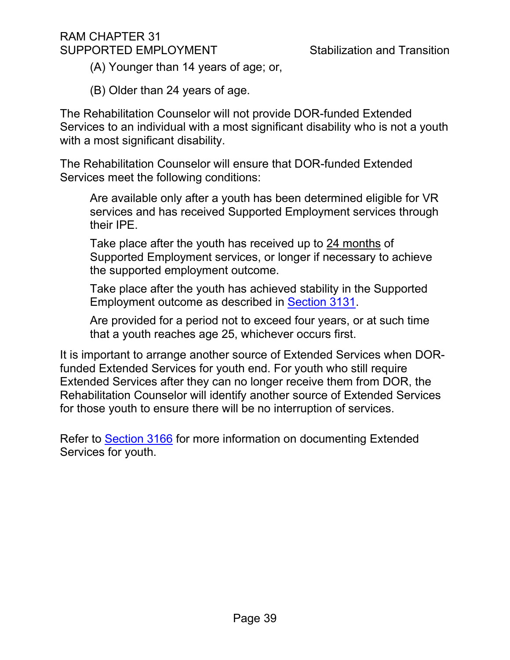(A) Younger than 14 years of age; or,

(B) Older than 24 years of age.

The Rehabilitation Counselor will not provide DOR-funded Extended Services to an individual with a most significant disability who is not a youth with a most significant disability.

The Rehabilitation Counselor will ensure that DOR-funded Extended Services meet the following conditions:

Are available only after a youth has been determined eligible for VR services and has received Supported Employment services through their IPE.

Take place after the youth has received up to 24 months of Supported Employment services, or longer if necessary to achieve the supported employment outcome.

Take place after the youth has achieved stability in the Supported Employment outcome as described in [Section 3131.](#page-33-1)

Are provided for a period not to exceed four years, or at such time that a youth reaches age 25, whichever occurs first.

It is important to arrange another source of Extended Services when DORfunded Extended Services for youth end. For youth who still require Extended Services after they can no longer receive them from DOR, the Rehabilitation Counselor will identify another source of Extended Services for those youth to ensure there will be no interruption of services.

Refer to [Section 3166](#page-56-1) for more information on documenting Extended Services for youth.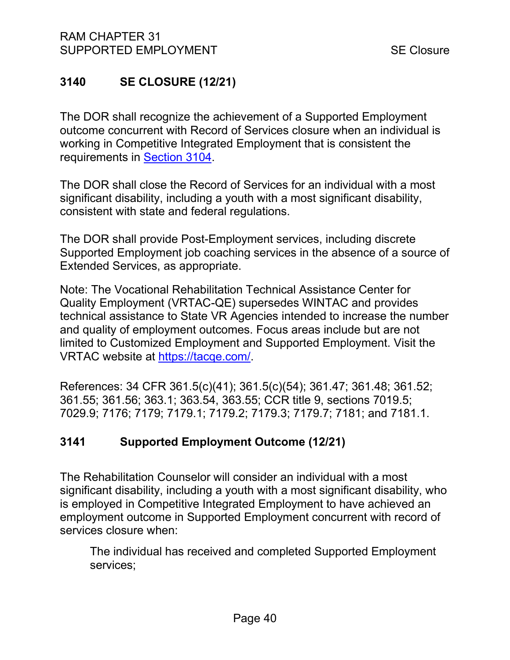# <span id="page-39-0"></span>**3140 SE CLOSURE (12/21)**

The DOR shall recognize the achievement of a Supported Employment outcome concurrent with Record of Services closure when an individual is working in Competitive Integrated Employment that is consistent the requirements in [Section 3104.](#page-9-0)

The DOR shall close the Record of Services for an individual with a most significant disability, including a youth with a most significant disability, consistent with state and federal regulations.

The DOR shall provide Post-Employment services, including discrete Supported Employment job coaching services in the absence of a source of Extended Services, as appropriate.

Note: The Vocational Rehabilitation Technical Assistance Center for Quality Employment (VRTAC-QE) supersedes WINTAC and provides technical assistance to State VR Agencies intended to increase the number and quality of employment outcomes. Focus areas include but are not limited to Customized Employment and Supported Employment. Visit the VRTAC website at [https://tacqe.com/.](https://tacqe.com/)

References: 34 CFR 361.5(c)(41); 361.5(c)(54); 361.47; 361.48; 361.52; 361.55; 361.56; 363.1; 363.54, 363.55; CCR title 9, sections 7019.5; 7029.9; 7176; 7179; 7179.1; 7179.2; 7179.3; 7179.7; 7181; and 7181.1.

# <span id="page-39-1"></span>**3141 Supported Employment Outcome (12/21)**

The Rehabilitation Counselor will consider an individual with a most significant disability, including a youth with a most significant disability, who is employed in Competitive Integrated Employment to have achieved an employment outcome in Supported Employment concurrent with record of services closure when:

The individual has received and completed Supported Employment services;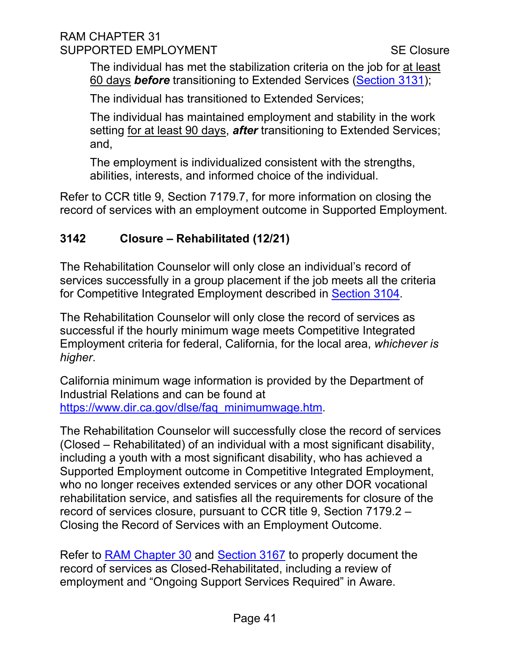#### RAM CHAPTER 31 SUPPORTED EMPLOYMENT SUPPORTED EMPLOYMENT

The individual has met the stabilization criteria on the job for at least 60 days *before* transitioning to Extended Services [\(Section 3131\)](#page-33-1);

The individual has transitioned to Extended Services;

The individual has maintained employment and stability in the work setting for at least 90 days, *after* transitioning to Extended Services; and,

The employment is individualized consistent with the strengths, abilities, interests, and informed choice of the individual.

Refer to CCR title 9, Section 7179.7, for more information on closing the record of services with an employment outcome in Supported Employment.

# <span id="page-40-0"></span>**3142 Closure – Rehabilitated (12/21)**

The Rehabilitation Counselor will only close an individual's record of services successfully in a group placement if the job meets all the criteria for Competitive Integrated Employment described in [Section 3104.](#page-9-0)

The Rehabilitation Counselor will only close the record of services as successful if the hourly minimum wage meets Competitive Integrated Employment criteria for federal, California, for the local area, *whichever is higher*.

California minimum wage information is provided by the Department of Industrial Relations and can be found at [https://www.dir.ca.gov/dlse/faq\\_minimumwage.htm.](https://www.dir.ca.gov/dlse/faq_minimumwage.htm)

The Rehabilitation Counselor will successfully close the record of services (Closed – Rehabilitated) of an individual with a most significant disability, including a youth with a most significant disability, who has achieved a Supported Employment outcome in Competitive Integrated Employment, who no longer receives extended services or any other DOR vocational rehabilitation service, and satisfies all the requirements for closure of the record of services closure, pursuant to CCR title 9, Section 7179.2 – Closing the Record of Services with an Employment Outcome.

Refer to [RAM Chapter 30](https://indor/ram/ram30/ram-30-record-of-services) and [Section 3167](#page-58-0) to properly document the record of services as Closed-Rehabilitated, including a review of employment and "Ongoing Support Services Required" in Aware.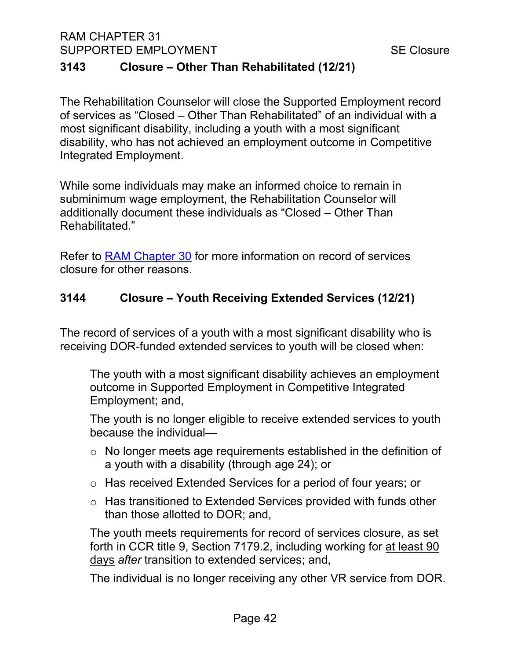# <span id="page-41-0"></span>**3143 Closure – Other Than Rehabilitated (12/21)**

The Rehabilitation Counselor will close the Supported Employment record of services as "Closed – Other Than Rehabilitated" of an individual with a most significant disability, including a youth with a most significant disability, who has not achieved an employment outcome in Competitive Integrated Employment.

While some individuals may make an informed choice to remain in subminimum wage employment, the Rehabilitation Counselor will additionally document these individuals as "Closed – Other Than Rehabilitated."

Refer to [RAM Chapter 30](https://indor/ram/ram30/ram-30-record-of-services) for more information on record of services closure for other reasons.

# <span id="page-41-1"></span>**3144 Closure – Youth Receiving Extended Services (12/21)**

The record of services of a youth with a most significant disability who is receiving DOR-funded extended services to youth will be closed when:

The youth with a most significant disability achieves an employment outcome in Supported Employment in Competitive Integrated Employment; and,

The youth is no longer eligible to receive extended services to youth because the individual—

- o No longer meets age requirements established in the definition of a youth with a disability (through age 24); or
- o Has received Extended Services for a period of four years; or
- o Has transitioned to Extended Services provided with funds other than those allotted to DOR; and,

The youth meets requirements for record of services closure, as set forth in CCR title 9, Section 7179.2, including working for at least 90 days *after* transition to extended services; and,

The individual is no longer receiving any other VR service from DOR.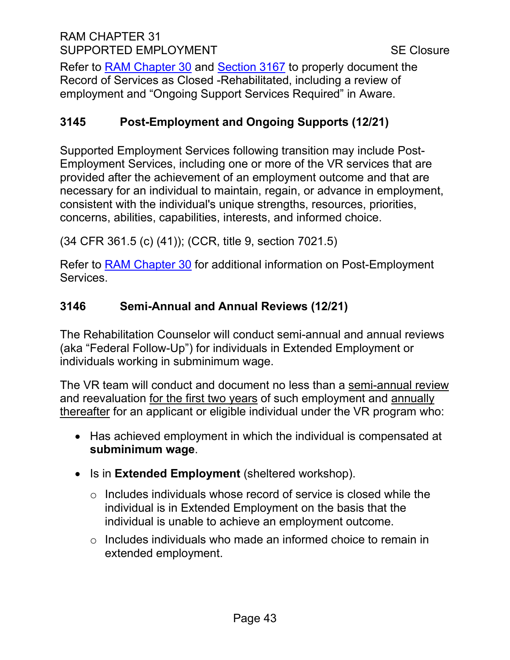# RAM CHAPTER 31 SUPPORTED EMPLOYMENT SUPPORTED EMPLOYMENT

Refer to [RAM Chapter 30](https://indor/ram/ram30/ram-30-record-of-services) and [Section 3167](#page-58-0) to properly document the Record of Services as Closed -Rehabilitated, including a review of employment and "Ongoing Support Services Required" in Aware.

# <span id="page-42-0"></span>**3145 Post-Employment and Ongoing Supports (12/21)**

Supported Employment Services following transition may include Post-Employment Services, including one or more of the VR services that are provided after the achievement of an employment outcome and that are necessary for an individual to maintain, regain, or advance in employment, consistent with the individual's unique strengths, resources, priorities, concerns, abilities, capabilities, interests, and informed choice.

(34 CFR 361.5 (c) (41)); (CCR, title 9, section 7021.5)

Refer to [RAM Chapter 30](https://indor/ram/ram30/ram-30-record-of-services) for additional information on Post-Employment Services.

# <span id="page-42-1"></span>**3146 Semi-Annual and Annual Reviews (12/21)**

The Rehabilitation Counselor will conduct semi-annual and annual reviews (aka "Federal Follow-Up") for individuals in Extended Employment or individuals working in subminimum wage.

The VR team will conduct and document no less than a semi-annual review and reevaluation for the first two years of such employment and annually thereafter for an applicant or eligible individual under the VR program who:

- Has achieved employment in which the individual is compensated at **subminimum wage**.
- Is in **Extended Employment** (sheltered workshop).
	- $\circ$  Includes individuals whose record of service is closed while the individual is in Extended Employment on the basis that the individual is unable to achieve an employment outcome.
	- o Includes individuals who made an informed choice to remain in extended employment.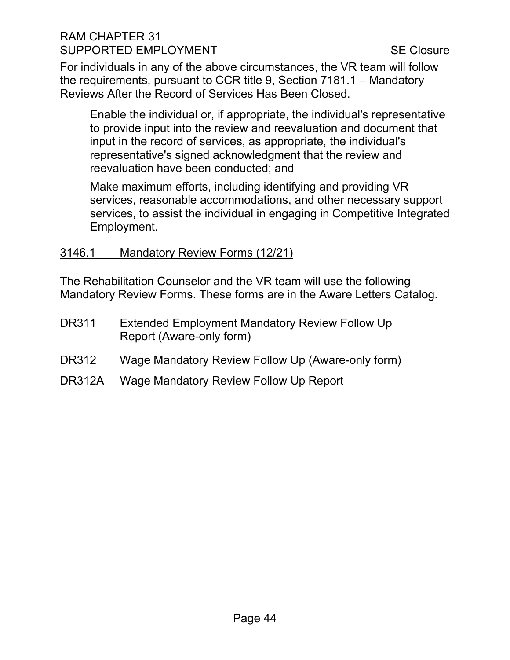# RAM CHAPTER 31 SUPPORTED EMPLOYMENT SUPPORTED EMPLOYMENT

For individuals in any of the above circumstances, the VR team will follow the requirements, pursuant to CCR title 9, Section 7181.1 – Mandatory Reviews After the Record of Services Has Been Closed.

Enable the individual or, if appropriate, the individual's representative to provide input into the review and reevaluation and document that input in the record of services, as appropriate, the individual's representative's signed acknowledgment that the review and reevaluation have been conducted; and

Make maximum efforts, including identifying and providing VR services, reasonable accommodations, and other necessary support services, to assist the individual in engaging in Competitive Integrated Employment.

#### 3146.1 Mandatory Review Forms (12/21)

The Rehabilitation Counselor and the VR team will use the following Mandatory Review Forms. These forms are in the Aware Letters Catalog.

- DR311 Extended Employment Mandatory Review Follow Up Report (Aware-only form)
- DR312 Wage Mandatory Review Follow Up (Aware-only form)
- DR312A Wage Mandatory Review Follow Up Report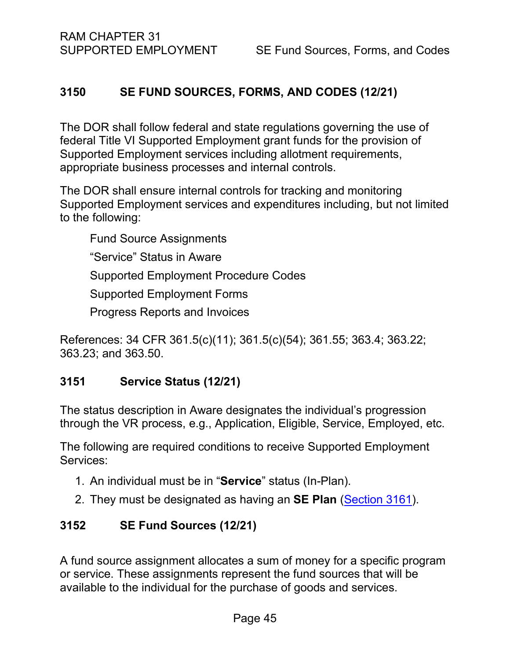#### <span id="page-44-0"></span>**3150 SE FUND SOURCES, FORMS, AND CODES (12/21)**

The DOR shall follow federal and state regulations governing the use of federal Title VI Supported Employment grant funds for the provision of Supported Employment services including allotment requirements, appropriate business processes and internal controls.

The DOR shall ensure internal controls for tracking and monitoring Supported Employment services and expenditures including, but not limited to the following:

Fund Source Assignments "Service" Status in Aware Supported Employment Procedure Codes Supported Employment Forms Progress Reports and Invoices

References: 34 CFR 361.5(c)(11); 361.5(c)(54); 361.55; 363.4; 363.22; 363.23; and 363.50.

#### <span id="page-44-1"></span>**3151 Service Status (12/21)**

The status description in Aware designates the individual's progression through the VR process, e.g., Application, Eligible, Service, Employed, etc.

The following are required conditions to receive Supported Employment Services:

- 1. An individual must be in "**Service**" status (In-Plan).
- 2. They must be designated as having an **SE Plan** [\(Section 3161\)](#page-48-1).

#### <span id="page-44-2"></span>**3152 SE Fund Sources (12/21)**

A fund source assignment allocates a sum of money for a specific program or service. These assignments represent the fund sources that will be available to the individual for the purchase of goods and services.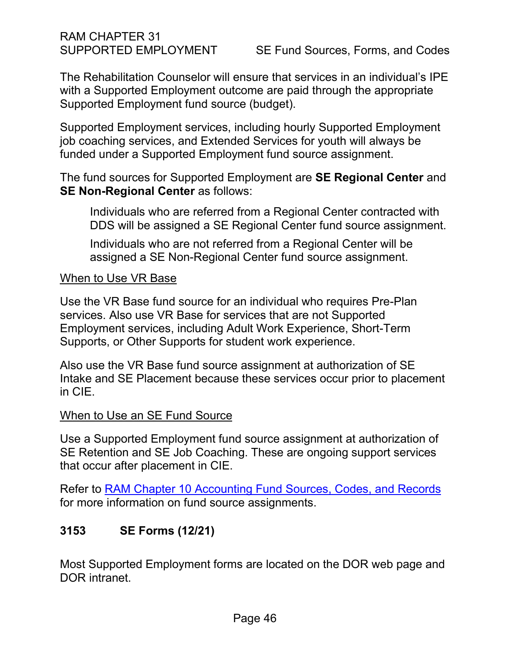The Rehabilitation Counselor will ensure that services in an individual's IPE with a Supported Employment outcome are paid through the appropriate Supported Employment fund source (budget).

Supported Employment services, including hourly Supported Employment job coaching services, and Extended Services for youth will always be funded under a Supported Employment fund source assignment.

The fund sources for Supported Employment are **SE Regional Center** and **SE Non-Regional Center** as follows:

Individuals who are referred from a Regional Center contracted with DDS will be assigned a SE Regional Center fund source assignment.

Individuals who are not referred from a Regional Center will be assigned a SE Non-Regional Center fund source assignment.

#### When to Use VR Base

Use the VR Base fund source for an individual who requires Pre-Plan services. Also use VR Base for services that are not Supported Employment services, including Adult Work Experience, Short-Term Supports, or Other Supports for student work experience.

Also use the VR Base fund source assignment at authorization of SE Intake and SE Placement because these services occur prior to placement in CIE.

#### When to Use an SE Fund Source

Use a Supported Employment fund source assignment at authorization of SE Retention and SE Job Coaching. These are ongoing support services that occur after placement in CIE.

Refer to [RAM Chapter 10 Accounting Fund Sources, Codes, and Records](https://indor/ram/ram10/ram-10-accounting-fund-sources-codes-and-records) for more information on fund source assignments.

# <span id="page-45-0"></span>**3153 SE Forms (12/21)**

Most Supported Employment forms are located on the DOR web page and DOR intranet.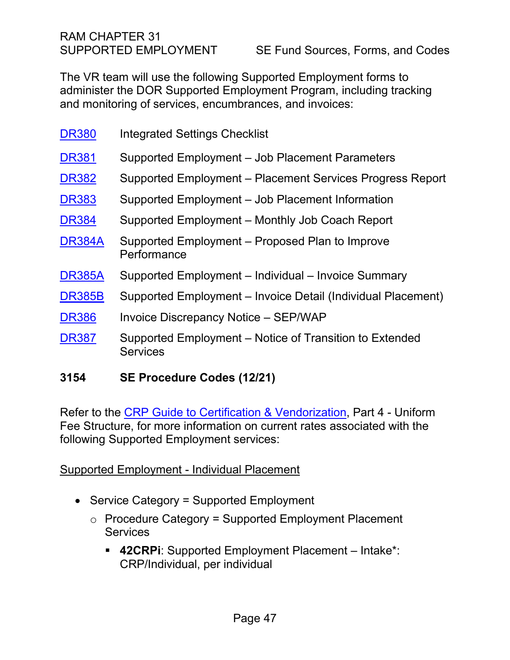The VR team will use the following Supported Employment forms to administer the DOR Supported Employment Program, including tracking and monitoring of services, encumbrances, and invoices:

| <b>DR380</b>  | <b>Integrated Settings Checklist</b>                                       |
|---------------|----------------------------------------------------------------------------|
| <b>DR381</b>  | Supported Employment - Job Placement Parameters                            |
| <b>DR382</b>  | Supported Employment – Placement Services Progress Report                  |
| <b>DR383</b>  | Supported Employment – Job Placement Information                           |
| <b>DR384</b>  | Supported Employment – Monthly Job Coach Report                            |
| <b>DR384A</b> | Supported Employment – Proposed Plan to Improve<br>Performance             |
| <b>DR385A</b> | Supported Employment - Individual - Invoice Summary                        |
| <b>DR385B</b> | Supported Employment – Invoice Detail (Individual Placement)               |
| <b>DR386</b>  | <b>Invoice Discrepancy Notice - SEP/WAP</b>                                |
| <b>DR387</b>  | Supported Employment – Notice of Transition to Extended<br><b>Services</b> |

#### <span id="page-46-0"></span>**3154 SE Procedure Codes (12/21)**

Refer to the [CRP Guide to Certification & Vendorization,](file://DORGROUP/GROUP/Public%20Folder/InDOR%20Documents/VRPRD/CRD/CRPs/CRP%20Forms%20and%20Documents/CRP%20Guide%20to%20Certification%20and%20Vendorization%20May%202020%20PDF.pdf) Part 4 - Uniform Fee Structure, for more information on current rates associated with the following Supported Employment services:

#### Supported Employment - Individual Placement

- Service Category = Supported Employment
	- $\circ$  Procedure Category = Supported Employment Placement **Services** 
		- **42CRPi**: Supported Employment Placement Intake\*: CRP/Individual, per individual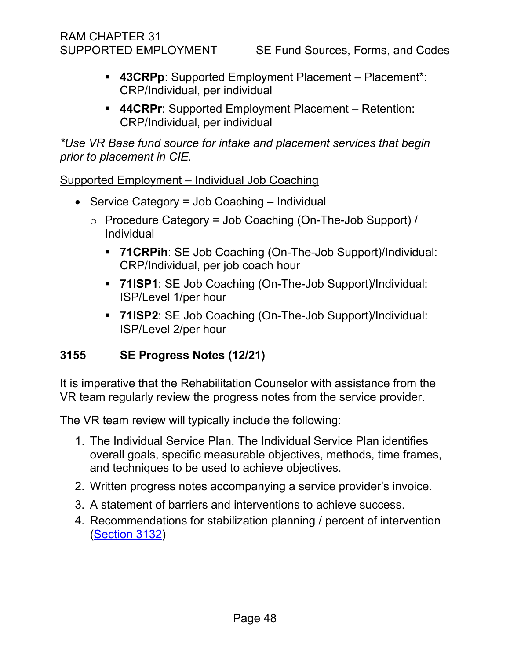- **43CRPp**: Supported Employment Placement Placement\*: CRP/Individual, per individual
- **44CRPr**: Supported Employment Placement Retention: CRP/Individual, per individual

*\*Use VR Base fund source for intake and placement services that begin prior to placement in CIE.* 

Supported Employment – Individual Job Coaching

- Service Category = Job Coaching Individual
	- $\circ$  Procedure Category = Job Coaching (On-The-Job Support) / Individual
		- **71CRPih**: SE Job Coaching (On-The-Job Support)/Individual: CRP/Individual, per job coach hour
		- **71ISP1**: SE Job Coaching (On-The-Job Support)/Individual: ISP/Level 1/per hour
		- **71ISP2**: SE Job Coaching (On-The-Job Support)/Individual: ISP/Level 2/per hour

# <span id="page-47-0"></span>**3155 SE Progress Notes (12/21)**

It is imperative that the Rehabilitation Counselor with assistance from the VR team regularly review the progress notes from the service provider.

The VR team review will typically include the following:

- 1. The Individual Service Plan. The Individual Service Plan identifies overall goals, specific measurable objectives, methods, time frames, and techniques to be used to achieve objectives.
- 2. Written progress notes accompanying a service provider's invoice.
- 3. A statement of barriers and interventions to achieve success.
- 4. Recommendations for stabilization planning / percent of intervention [\(Section 3132\)](#page-34-0)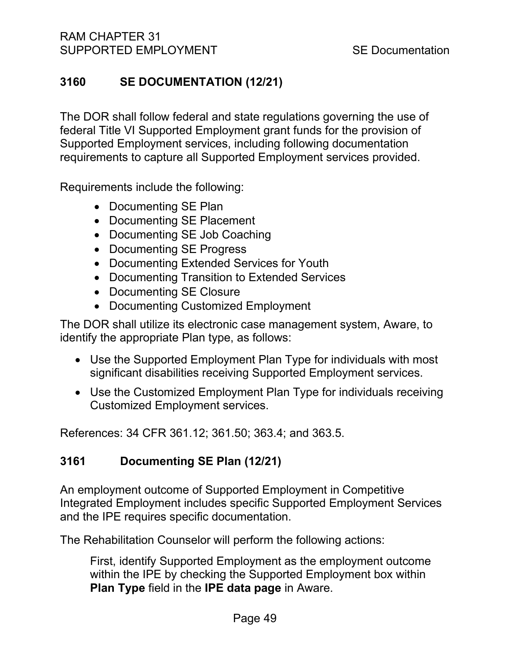# <span id="page-48-0"></span>**3160 SE DOCUMENTATION (12/21)**

The DOR shall follow federal and state regulations governing the use of federal Title VI Supported Employment grant funds for the provision of Supported Employment services, including following documentation requirements to capture all Supported Employment services provided.

Requirements include the following:

- Documenting SE Plan
- Documenting SE Placement
- Documenting SE Job Coaching
- Documenting SE Progress
- Documenting Extended Services for Youth
- Documenting Transition to Extended Services
- Documenting SE Closure
- Documenting Customized Employment

The DOR shall utilize its electronic case management system, Aware, to identify the appropriate Plan type, as follows:

- Use the Supported Employment Plan Type for individuals with most significant disabilities receiving Supported Employment services.
- Use the Customized Employment Plan Type for individuals receiving Customized Employment services.

References: 34 CFR 361.12; 361.50; 363.4; and 363.5.

# <span id="page-48-1"></span>**3161 Documenting SE Plan (12/21)**

An employment outcome of Supported Employment in Competitive Integrated Employment includes specific Supported Employment Services and the IPE requires specific documentation.

The Rehabilitation Counselor will perform the following actions:

First, identify Supported Employment as the employment outcome within the IPE by checking the Supported Employment box within **Plan Type** field in the **IPE data page** in Aware.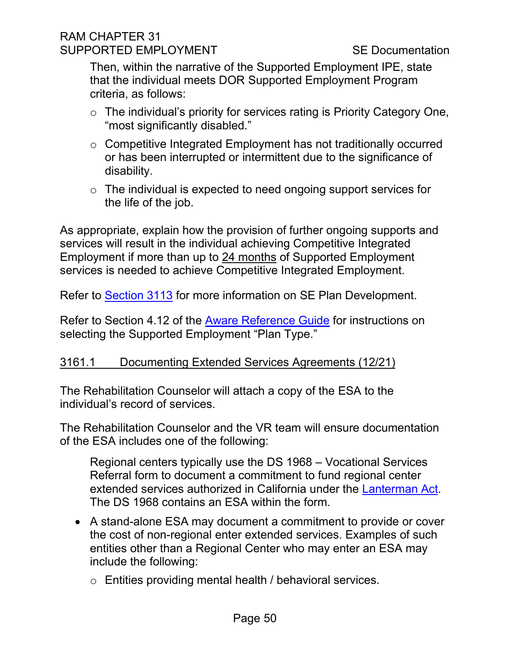#### RAM CHAPTER 31 SUPPORTED EMPLOYMENT SUPPORTED SE Documentation

Then, within the narrative of the Supported Employment IPE, state that the individual meets DOR Supported Employment Program criteria, as follows:

- o The individual's priority for services rating is Priority Category One, "most significantly disabled."
- o Competitive Integrated Employment has not traditionally occurred or has been interrupted or intermittent due to the significance of disability.
- $\circ$  The individual is expected to need ongoing support services for the life of the job.

As appropriate, explain how the provision of further ongoing supports and services will result in the individual achieving Competitive Integrated Employment if more than up to 24 months of Supported Employment services is needed to achieve Competitive Integrated Employment.

Refer to [Section 3113](#page-18-1) for more information on SE Plan Development.

Refer to Section 4.12 of the [Aware Reference Guide](file://dorgroup/Group/Public%20Folder/InDOR%20Documents/Aware/2021_04_09%20-%20Aware%20Reference%20Guide%20v6_9_2.docx) for instructions on selecting the Supported Employment "Plan Type."

#### <span id="page-49-0"></span>3161.1 Documenting Extended Services Agreements (12/21)

The Rehabilitation Counselor will attach a copy of the ESA to the individual's record of services.

The Rehabilitation Counselor and the VR team will ensure documentation of the ESA includes one of the following:

Regional centers typically use the DS 1968 – Vocational Services Referral form to document a commitment to fund regional center extended services authorized in California under the [Lanterman Act.](https://www.dds.ca.gov/transparency/laws-regulations/lanterman-act-and-related-laws/) The DS 1968 contains an ESA within the form.

- A stand-alone ESA may document a commitment to provide or cover the cost of non-regional enter extended services. Examples of such entities other than a Regional Center who may enter an ESA may include the following:
	- o Entities providing mental health / behavioral services.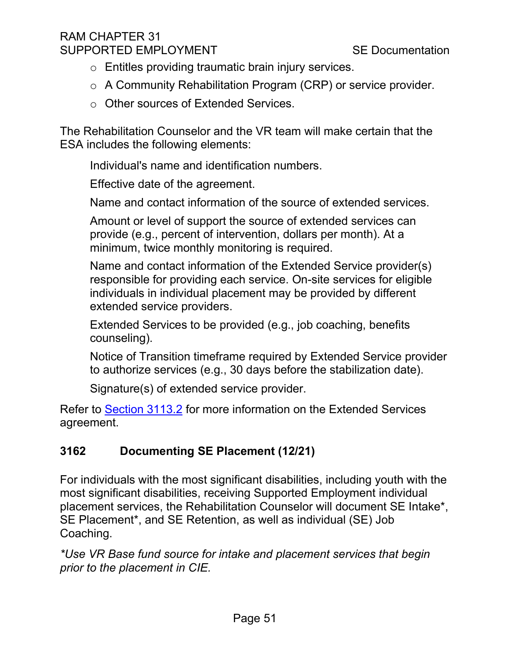# RAM CHAPTER 31 SUPPORTED EMPLOYMENT SUPPORTED SE Documentation

- o Entitles providing traumatic brain injury services.
- o A Community Rehabilitation Program (CRP) or service provider.
- o Other sources of Extended Services.

The Rehabilitation Counselor and the VR team will make certain that the ESA includes the following elements:

Individual's name and identification numbers.

Effective date of the agreement.

Name and contact information of the source of extended services.

Amount or level of support the source of extended services can provide (e.g., percent of intervention, dollars per month). At a minimum, twice monthly monitoring is required.

Name and contact information of the Extended Service provider(s) responsible for providing each service. On-site services for eligible individuals in individual placement may be provided by different extended service providers.

Extended Services to be provided (e.g., job coaching, benefits counseling).

Notice of Transition timeframe required by Extended Service provider to authorize services (e.g., 30 days before the stabilization date).

Signature(s) of extended service provider.

Refer to [Section 3113.2](#page-20-0) for more information on the Extended Services agreement.

# <span id="page-50-0"></span>**3162 Documenting SE Placement (12/21)**

For individuals with the most significant disabilities, including youth with the most significant disabilities, receiving Supported Employment individual placement services, the Rehabilitation Counselor will document SE Intake\*, SE Placement\*, and SE Retention, as well as individual (SE) Job Coaching.

*\*Use VR Base fund source for intake and placement services that begin prior to the placement in CIE.*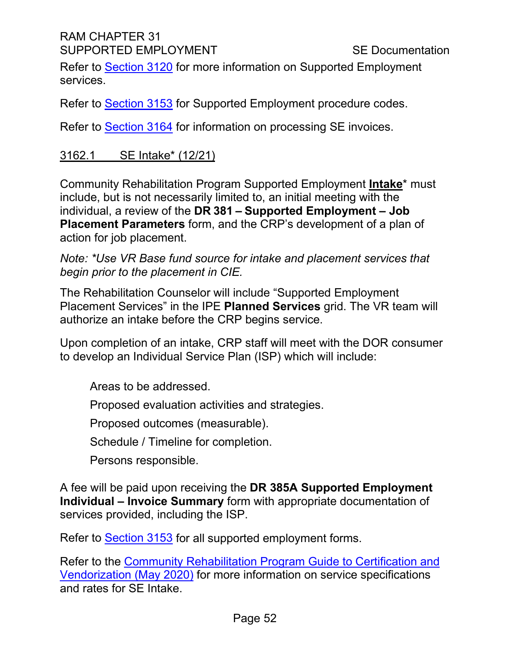# RAM CHAPTER 31 SUPPORTED EMPLOYMENT SUPPORTED EMPLOYMENT

Refer to [Section 3120](#page-25-0) for more information on Supported Employment services.

Refer to [Section 3153](#page-45-0) for Supported Employment procedure codes.

Refer to **Section 3164** for information on processing SE invoices.

# 3162.1 SE Intake\* (12/21)

Community Rehabilitation Program Supported Employment **Intake**\* must include, but is not necessarily limited to, an initial meeting with the individual, a review of the **DR 381 – Supported Employment – Job Placement Parameters** form, and the CRP's development of a plan of action for job placement.

#### *Note: \*Use VR Base fund source for intake and placement services that begin prior to the placement in CIE.*

The Rehabilitation Counselor will include "Supported Employment Placement Services" in the IPE **Planned Services** grid. The VR team will authorize an intake before the CRP begins service.

Upon completion of an intake, CRP staff will meet with the DOR consumer to develop an Individual Service Plan (ISP) which will include:

Areas to be addressed.

Proposed evaluation activities and strategies.

Proposed outcomes (measurable).

Schedule / Timeline for completion.

Persons responsible.

A fee will be paid upon receiving the **DR 385A Supported Employment Individual – Invoice Summary** form with appropriate documentation of services provided, including the ISP.

Refer to [Section 3153](#page-45-0) for all supported employment forms.

Refer to the [Community Rehabilitation Program Guide to Certification and](file://DORGROUP/GROUP/User%20Resources/Certification%20&%20Vendorization%20Handbook%202009/Certification%20and%20Vendorization%20Guide%202009/CRP-Guide-to-Certification-and-Vendorization%20May%202020.doc)  [Vendorization \(May 2020\)](file://DORGROUP/GROUP/User%20Resources/Certification%20&%20Vendorization%20Handbook%202009/Certification%20and%20Vendorization%20Guide%202009/CRP-Guide-to-Certification-and-Vendorization%20May%202020.doc) for more information on service specifications and rates for SE Intake.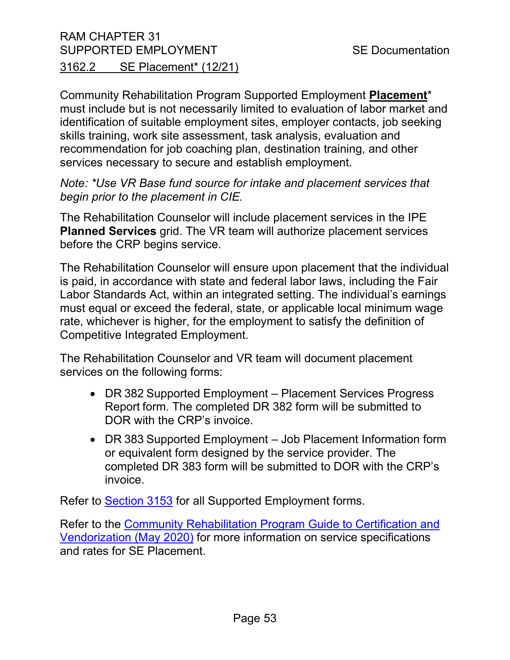# RAM CHAPTER 31 SUPPORTED EMPLOYMENT SUPPORTED EMPLOYMENT 3162.2 SE Placement\* (12/21)

Community Rehabilitation Program Supported Employment **Placement**\* must include but is not necessarily limited to evaluation of labor market and identification of suitable employment sites, employer contacts, job seeking skills training, work site assessment, task analysis, evaluation and recommendation for job coaching plan, destination training, and other services necessary to secure and establish employment.

*Note: \*Use VR Base fund source for intake and placement services that begin prior to the placement in CIE.* 

The Rehabilitation Counselor will include placement services in the IPE **Planned Services** grid. The VR team will authorize placement services before the CRP begins service.

The Rehabilitation Counselor will ensure upon placement that the individual is paid, in accordance with state and federal labor laws, including the Fair Labor Standards Act, within an integrated setting. The individual's earnings must equal or exceed the federal, state, or applicable local minimum wage rate, whichever is higher, for the employment to satisfy the definition of Competitive Integrated Employment.

The Rehabilitation Counselor and VR team will document placement services on the following forms:

- DR 382 Supported Employment Placement Services Progress Report form. The completed DR 382 form will be submitted to DOR with the CRP's invoice.
- DR 383 Supported Employment Job Placement Information form or equivalent form designed by the service provider. The completed DR 383 form will be submitted to DOR with the CRP's invoice.

Refer to [Section 3153](#page-45-0) for all Supported Employment forms.

Refer to the [Community Rehabilitation Program Guide to Certification and](file://DORGROUP/GROUP/User%20Resources/Certification%20&%20Vendorization%20Handbook%202009/Certification%20and%20Vendorization%20Guide%202009/CRP-Guide-to-Certification-and-Vendorization%20May%202020.doc)  [Vendorization \(May 2020\)](file://DORGROUP/GROUP/User%20Resources/Certification%20&%20Vendorization%20Handbook%202009/Certification%20and%20Vendorization%20Guide%202009/CRP-Guide-to-Certification-and-Vendorization%20May%202020.doc) for more information on service specifications and rates for SE Placement.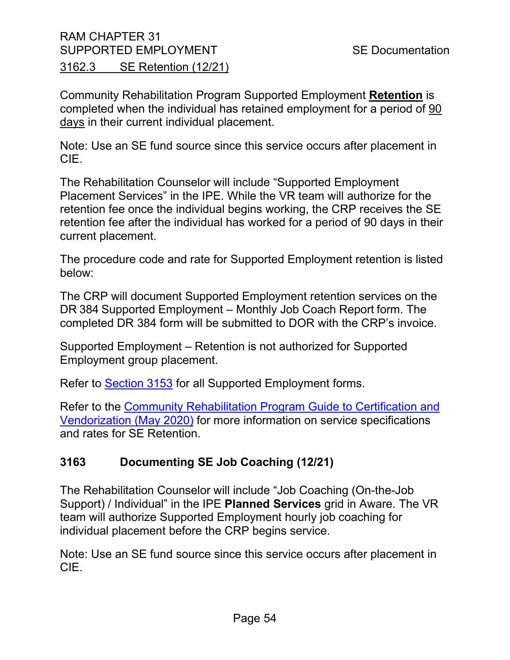Community Rehabilitation Program Supported Employment **Retention** is completed when the individual has retained employment for a period of 90 days in their current individual placement.

Note: Use an SE fund source since this service occurs after placement in CIE.

The Rehabilitation Counselor will include "Supported Employment Placement Services" in the IPE. While the VR team will authorize for the retention fee once the individual begins working, the CRP receives the SE retention fee after the individual has worked for a period of 90 days in their current placement.

The procedure code and rate for Supported Employment retention is listed below:

The CRP will document Supported Employment retention services on the DR 384 Supported Employment – Monthly Job Coach Report form. The completed DR 384 form will be submitted to DOR with the CRP's invoice.

Supported Employment – Retention is not authorized for Supported Employment group placement.

Refer to [Section 3153](#page-45-0) for all Supported Employment forms.

Refer to the [Community Rehabilitation Program Guide to Certification and](file://DORGROUP/GROUP/User%20Resources/Certification%20&%20Vendorization%20Handbook%202009/Certification%20and%20Vendorization%20Guide%202009/CRP-Guide-to-Certification-and-Vendorization%20May%202020.doc)  [Vendorization \(May 2020\)](file://DORGROUP/GROUP/User%20Resources/Certification%20&%20Vendorization%20Handbook%202009/Certification%20and%20Vendorization%20Guide%202009/CRP-Guide-to-Certification-and-Vendorization%20May%202020.doc) for more information on service specifications and rates for SE Retention.

# <span id="page-53-0"></span>**3163 Documenting SE Job Coaching (12/21)**

The Rehabilitation Counselor will include "Job Coaching (On-the-Job Support) / Individual" in the IPE **Planned Services** grid in Aware. The VR team will authorize Supported Employment hourly job coaching for individual placement before the CRP begins service.

Note: Use an SE fund source since this service occurs after placement in CIE.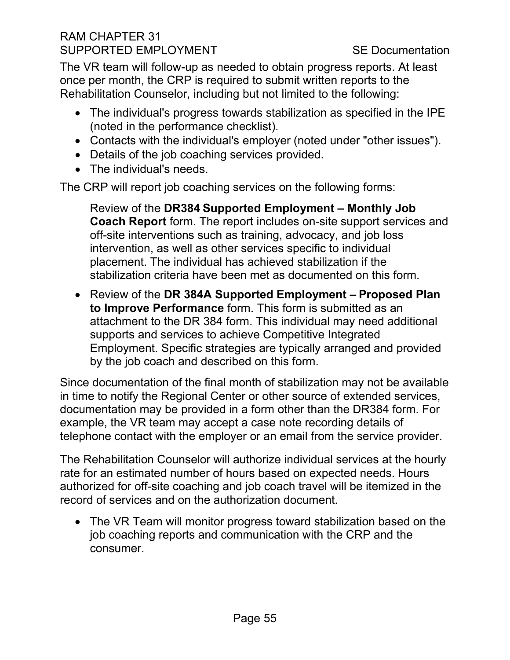# RAM CHAPTER 31 SUPPORTED EMPLOYMENT SUPPORTED SE Documentation

The VR team will follow-up as needed to obtain progress reports. At least once per month, the CRP is required to submit written reports to the Rehabilitation Counselor, including but not limited to the following:

- The individual's progress towards stabilization as specified in the IPE (noted in the performance checklist).
- Contacts with the individual's employer (noted under "other issues").
- Details of the job coaching services provided.
- The individual's needs.

The CRP will report job coaching services on the following forms:

Review of the **DR384 Supported Employment – Monthly Job Coach Report** form. The report includes on-site support services and off-site interventions such as training, advocacy, and job loss intervention, as well as other services specific to individual placement. The individual has achieved stabilization if the stabilization criteria have been met as documented on this form.

• Review of the **DR 384A Supported Employment – Proposed Plan to Improve Performance** form. This form is submitted as an attachment to the DR 384 form. This individual may need additional supports and services to achieve Competitive Integrated Employment. Specific strategies are typically arranged and provided by the job coach and described on this form.

Since documentation of the final month of stabilization may not be available in time to notify the Regional Center or other source of extended services, documentation may be provided in a form other than the DR384 form. For example, the VR team may accept a case note recording details of telephone contact with the employer or an email from the service provider.

The Rehabilitation Counselor will authorize individual services at the hourly rate for an estimated number of hours based on expected needs. Hours authorized for off-site coaching and job coach travel will be itemized in the record of services and on the authorization document.

• The VR Team will monitor progress toward stabilization based on the job coaching reports and communication with the CRP and the consumer.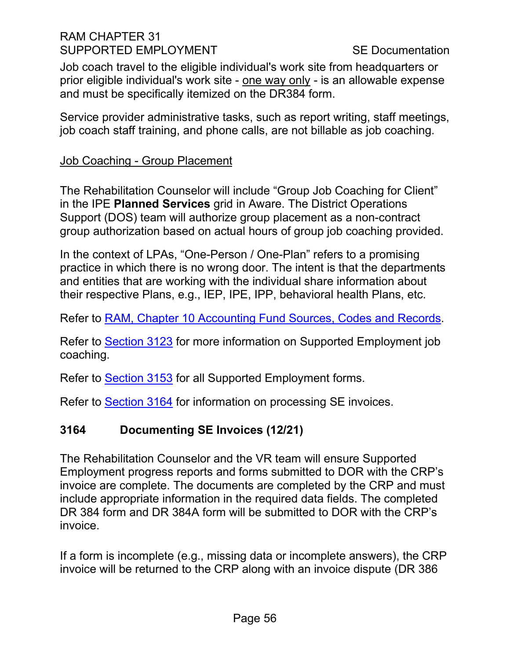#### RAM CHAPTER 31 SUPPORTED EMPLOYMENT SUPPORTED EMPLOYMENT

Job coach travel to the eligible individual's work site from headquarters or prior eligible individual's work site - one way only - is an allowable expense and must be specifically itemized on the DR384 form.

Service provider administrative tasks, such as report writing, staff meetings, job coach staff training, and phone calls, are not billable as job coaching.

#### Job Coaching - Group Placement

The Rehabilitation Counselor will include "Group Job Coaching for Client" in the IPE **Planned Services** grid in Aware. The District Operations Support (DOS) team will authorize group placement as a non-contract group authorization based on actual hours of group job coaching provided.

In the context of LPAs, "One-Person / One-Plan" refers to a promising practice in which there is no wrong door. The intent is that the departments and entities that are working with the individual share information about their respective Plans, e.g., IEP, IPE, IPP, behavioral health Plans, etc.

Refer to [RAM, Chapter 10 Accounting Fund Sources, Codes and Records.](https://indor/ram/ram10/ram-10-accounting-fund-sources-codes-and-records)

Refer to [Section 3123](#page-28-0) for more information on Supported Employment job coaching.

Refer to [Section 3153](#page-45-0) for all Supported Employment forms.

Refer to [Section 3164](#page-55-0) for information on processing SE invoices.

# <span id="page-55-0"></span>**3164 Documenting SE Invoices (12/21)**

The Rehabilitation Counselor and the VR team will ensure Supported Employment progress reports and forms submitted to DOR with the CRP's invoice are complete. The documents are completed by the CRP and must include appropriate information in the required data fields. The completed DR 384 form and DR 384A form will be submitted to DOR with the CRP's invoice.

If a form is incomplete (e.g., missing data or incomplete answers), the CRP invoice will be returned to the CRP along with an invoice dispute (DR 386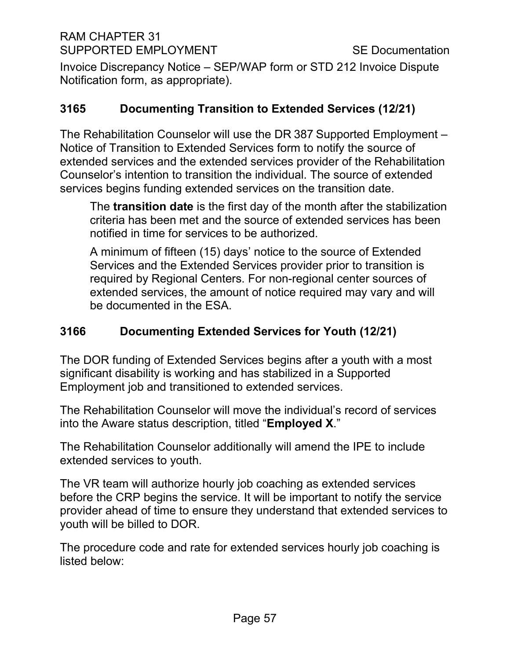RAM CHAPTER 31 SUPPORTED EMPLOYMENT SUPPORTED EMPLOYMENT

Invoice Discrepancy Notice – SEP/WAP form or STD 212 Invoice Dispute Notification form, as appropriate).

# <span id="page-56-0"></span>**3165 Documenting Transition to Extended Services (12/21)**

The Rehabilitation Counselor will use the DR 387 Supported Employment – Notice of Transition to Extended Services form to notify the source of extended services and the extended services provider of the Rehabilitation Counselor's intention to transition the individual. The source of extended services begins funding extended services on the transition date.

The **transition date** is the first day of the month after the stabilization criteria has been met and the source of extended services has been notified in time for services to be authorized.

A minimum of fifteen (15) days' notice to the source of Extended Services and the Extended Services provider prior to transition is required by Regional Centers. For non-regional center sources of extended services, the amount of notice required may vary and will be documented in the ESA.

# <span id="page-56-1"></span>**3166 Documenting Extended Services for Youth (12/21)**

The DOR funding of Extended Services begins after a youth with a most significant disability is working and has stabilized in a Supported Employment job and transitioned to extended services.

The Rehabilitation Counselor will move the individual's record of services into the Aware status description, titled "**Employed X**."

The Rehabilitation Counselor additionally will amend the IPE to include extended services to youth.

The VR team will authorize hourly job coaching as extended services before the CRP begins the service. It will be important to notify the service provider ahead of time to ensure they understand that extended services to youth will be billed to DOR.

The procedure code and rate for extended services hourly job coaching is listed below: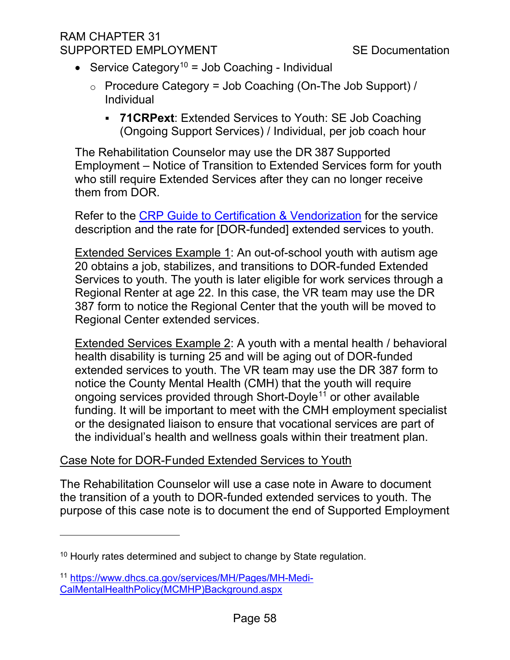# RAM CHAPTER 31 SUPPORTED EMPLOYMENT SUPPORTED SE Documentation

- Service Category<sup>[10](#page-57-0)</sup> = Job Coaching Individual
	- $\circ$  Procedure Category = Job Coaching (On-The Job Support) / Individual
		- **71CRPext**: Extended Services to Youth: SE Job Coaching (Ongoing Support Services) / Individual, per job coach hour

The Rehabilitation Counselor may use the DR 387 Supported Employment – Notice of Transition to Extended Services form for youth who still require Extended Services after they can no longer receive them from DOR.

Refer to the [CRP Guide to Certification & Vendorization](file://DORGROUP/GROUP/Public%20Folder/InDOR%20Documents/VRPRD/CRD/CRPs/CRP%20Forms%20and%20Documents/CRP%20Guide%20to%20Certification%20and%20Vendorization%20May%202020%20PDF.pdf) for the service description and the rate for [DOR-funded] extended services to youth.

Extended Services Example 1: An out-of-school youth with autism age 20 obtains a job, stabilizes, and transitions to DOR-funded Extended Services to youth. The youth is later eligible for work services through a Regional Renter at age 22. In this case, the VR team may use the DR 387 form to notice the Regional Center that the youth will be moved to Regional Center extended services.

Extended Services Example 2: A youth with a mental health / behavioral health disability is turning 25 and will be aging out of DOR-funded extended services to youth. The VR team may use the DR 387 form to notice the County Mental Health (CMH) that the youth will require ongoing services provided through Short-Doyle<sup>[11](#page-57-1)</sup> or other available funding. It will be important to meet with the CMH employment specialist or the designated liaison to ensure that vocational services are part of the individual's health and wellness goals within their treatment plan.

# Case Note for DOR-Funded Extended Services to Youth

The Rehabilitation Counselor will use a case note in Aware to document the transition of a youth to DOR-funded extended services to youth. The purpose of this case note is to document the end of Supported Employment

<span id="page-57-0"></span> $10$  Hourly rates determined and subject to change by State regulation.

<span id="page-57-1"></span><sup>11</sup> [https://www.dhcs.ca.gov/services/MH/Pages/MH-Medi-](https://www.dhcs.ca.gov/services/MH/Pages/MH-Medi-CalMentalHealthPolicy(MCMHP)Background.aspx)[CalMentalHealthPolicy\(MCMHP\)Background.aspx](https://www.dhcs.ca.gov/services/MH/Pages/MH-Medi-CalMentalHealthPolicy(MCMHP)Background.aspx)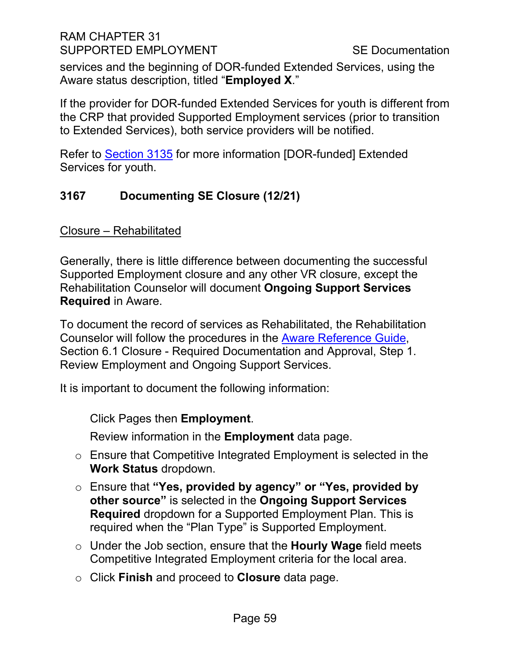#### RAM CHAPTER 31 SUPPORTED EMPLOYMENT SUPPORTED EMPLOYMENT

services and the beginning of DOR-funded Extended Services, using the Aware status description, titled "**Employed X**."

If the provider for DOR-funded Extended Services for youth is different from the CRP that provided Supported Employment services (prior to transition to Extended Services), both service providers will be notified.

Refer to [Section 3135](#page-37-1) for more information [DOR-funded] Extended Services for youth.

# <span id="page-58-0"></span>**3167 Documenting SE Closure (12/21)**

Closure – Rehabilitated

Generally, there is little difference between documenting the successful Supported Employment closure and any other VR closure, except the Rehabilitation Counselor will document **Ongoing Support Services Required** in Aware.

To document the record of services as Rehabilitated, the Rehabilitation Counselor will follow the procedures in the [Aware Reference Guide,](file://dorgroup/Group/Public%20Folder/InDOR%20Documents/Aware/2021_04_09%20-%20Aware%20Reference%20Guide%20v6_9_2.docx) Section 6.1 Closure - Required Documentation and Approval, Step 1. Review Employment and Ongoing Support Services.

It is important to document the following information:

Click Pages then **Employment**.

Review information in the **Employment** data page.

- o Ensure that Competitive Integrated Employment is selected in the **Work Status** dropdown.
- o Ensure that **"Yes, provided by agency" or "Yes, provided by other source"** is selected in the **Ongoing Support Services Required** dropdown for a Supported Employment Plan. This is required when the "Plan Type" is Supported Employment.
- o Under the Job section, ensure that the **Hourly Wage** field meets Competitive Integrated Employment criteria for the local area.
- o Click **Finish** and proceed to **Closure** data page.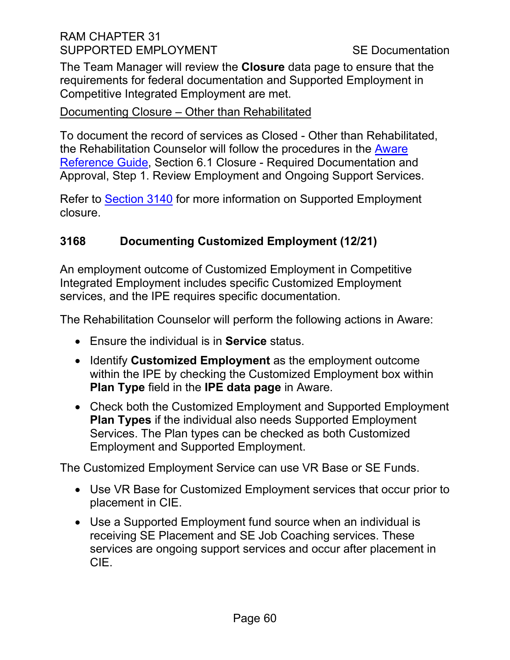# RAM CHAPTER 31 SUPPORTED EMPLOYMENT SUPPORTED EMPLOYMENT

The Team Manager will review the **Closure** data page to ensure that the requirements for federal documentation and Supported Employment in Competitive Integrated Employment are met.

#### Documenting Closure – Other than Rehabilitated

To document the record of services as Closed - Other than Rehabilitated, the Rehabilitation Counselor will follow the procedures in the [Aware](file://dorgroup/Group/Public%20Folder/InDOR%20Documents/Aware/2021_04_09%20-%20Aware%20Reference%20Guide%20v6_9_2.docx)  [Reference Guide,](file://dorgroup/Group/Public%20Folder/InDOR%20Documents/Aware/2021_04_09%20-%20Aware%20Reference%20Guide%20v6_9_2.docx) Section 6.1 Closure - Required Documentation and Approval, Step 1. Review Employment and Ongoing Support Services.

Refer to [Section 3140](#page-39-0) for more information on Supported Employment closure.

# <span id="page-59-0"></span>**3168 Documenting Customized Employment (12/21)**

An employment outcome of Customized Employment in Competitive Integrated Employment includes specific Customized Employment services, and the IPE requires specific documentation.

The Rehabilitation Counselor will perform the following actions in Aware:

- Ensure the individual is in **Service** status.
- Identify **Customized Employment** as the employment outcome within the IPE by checking the Customized Employment box within **Plan Type** field in the **IPE data page** in Aware.
- Check both the Customized Employment and Supported Employment **Plan Types** if the individual also needs Supported Employment Services. The Plan types can be checked as both Customized Employment and Supported Employment.

The Customized Employment Service can use VR Base or SE Funds.

- Use VR Base for Customized Employment services that occur prior to placement in CIE.
- Use a Supported Employment fund source when an individual is receiving SE Placement and SE Job Coaching services. These services are ongoing support services and occur after placement in CIE.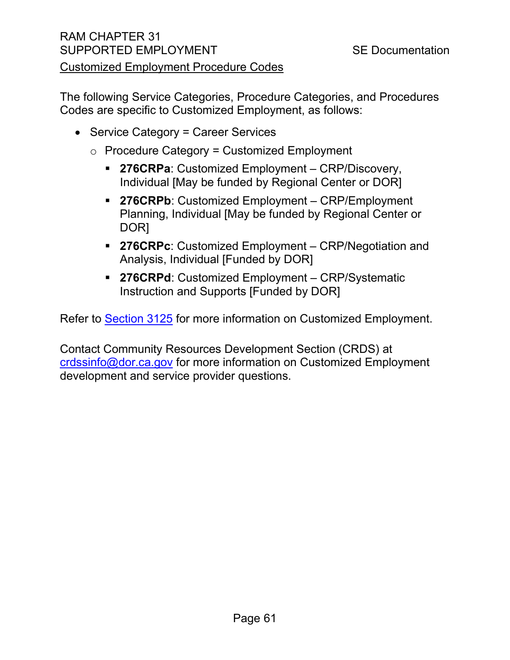# RAM CHAPTER 31 SUPPORTED EMPLOYMENT SUPPORTED SE Documentation Customized Employment Procedure Codes

The following Service Categories, Procedure Categories, and Procedures Codes are specific to Customized Employment, as follows:

- Service Category = Career Services
	- $\circ$  Procedure Category = Customized Employment
		- **276CRPa**: Customized Employment CRP/Discovery, Individual [May be funded by Regional Center or DOR]
		- **276CRPb**: Customized Employment CRP/Employment Planning, Individual [May be funded by Regional Center or DOR]
		- **276CRPc**: Customized Employment CRP/Negotiation and Analysis, Individual [Funded by DOR]
		- **276CRPd**: Customized Employment CRP/Systematic Instruction and Supports [Funded by DOR]

Refer to [Section 3125](#page-31-0) for more information on Customized Employment.

Contact Community Resources Development Section (CRDS) at [crdssinfo@dor.ca.gov](mailto:crdssinfo@dor.ca.gov) for more information on Customized Employment development and service provider questions.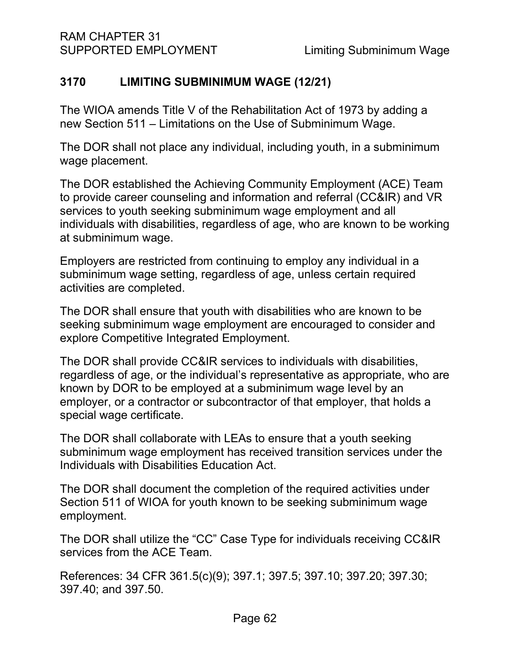# <span id="page-61-0"></span>**3170 LIMITING SUBMINIMUM WAGE (12/21)**

The WIOA amends Title V of the Rehabilitation Act of 1973 by adding a new Section 511 – Limitations on the Use of Subminimum Wage.

The DOR shall not place any individual, including youth, in a subminimum wage placement.

The DOR established the Achieving Community Employment (ACE) Team to provide career counseling and information and referral (CC&IR) and VR services to youth seeking subminimum wage employment and all individuals with disabilities, regardless of age, who are known to be working at subminimum wage.

Employers are restricted from continuing to employ any individual in a subminimum wage setting, regardless of age, unless certain required activities are completed.

The DOR shall ensure that youth with disabilities who are known to be seeking subminimum wage employment are encouraged to consider and explore Competitive Integrated Employment.

The DOR shall provide CC&IR services to individuals with disabilities, regardless of age, or the individual's representative as appropriate, who are known by DOR to be employed at a subminimum wage level by an employer, or a contractor or subcontractor of that employer, that holds a special wage certificate.

The DOR shall collaborate with LEAs to ensure that a youth seeking subminimum wage employment has received transition services under the Individuals with Disabilities Education Act.

The DOR shall document the completion of the required activities under Section 511 of WIOA for youth known to be seeking subminimum wage employment.

The DOR shall utilize the "CC" Case Type for individuals receiving CC&IR services from the ACE Team.

References: 34 CFR 361.5(c)(9); 397.1; 397.5; 397.10; 397.20; 397.30; 397.40; and 397.50.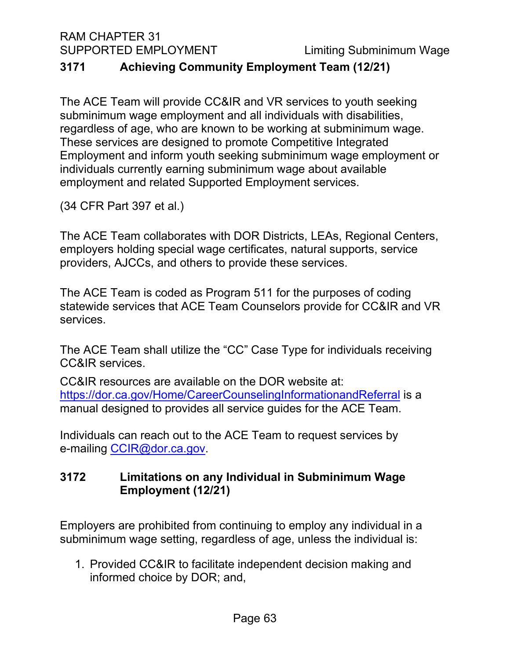RAM CHAPTER 31

SUPPORTED EMPLOYMENT Limiting Subminimum Wage

# <span id="page-62-0"></span>**3171 Achieving Community Employment Team (12/21)**

The ACE Team will provide CC&IR and VR services to youth seeking subminimum wage employment and all individuals with disabilities, regardless of age, who are known to be working at subminimum wage. These services are designed to promote Competitive Integrated Employment and inform youth seeking subminimum wage employment or individuals currently earning subminimum wage about available employment and related Supported Employment services.

(34 CFR Part 397 et al.)

The ACE Team collaborates with DOR Districts, LEAs, Regional Centers, employers holding special wage certificates, natural supports, service providers, AJCCs, and others to provide these services.

The ACE Team is coded as Program 511 for the purposes of coding statewide services that ACE Team Counselors provide for CC&IR and VR services.

The ACE Team shall utilize the "CC" Case Type for individuals receiving CC&IR services.

CC&IR resources are available on the DOR website at: <https://dor.ca.gov/Home/CareerCounselingInformationandReferral> is a manual designed to provides all service guides for the ACE Team.

Individuals can reach out to the ACE Team to request services by e-mailing [CCIR@dor.ca.gov.](mailto:CCIR@dor.ca.gov)

# <span id="page-62-1"></span>**3172 Limitations on any Individual in Subminimum Wage Employment (12/21)**

Employers are prohibited from continuing to employ any individual in a subminimum wage setting, regardless of age, unless the individual is:

1. Provided CC&IR to facilitate independent decision making and informed choice by DOR; and,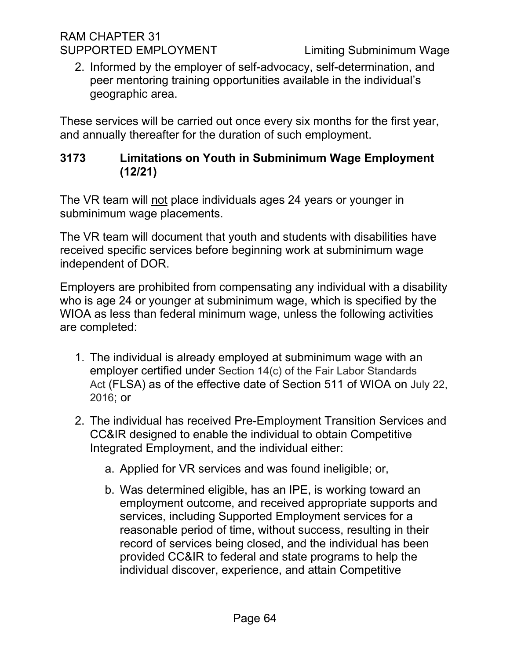#### RAM CHAPTER 31 SUPPORTED EMPLOYMENT Limiting Subminimum Wage

2. Informed by the employer of self-advocacy, self-determination, and peer mentoring training opportunities available in the individual's geographic area.

These services will be carried out once every six months for the first year, and annually thereafter for the duration of such employment.

# <span id="page-63-0"></span>**3173 Limitations on Youth in Subminimum Wage Employment (12/21)**

The VR team will not place individuals ages 24 years or younger in subminimum wage placements.

The VR team will document that youth and students with disabilities have received specific services before beginning work at subminimum wage independent of DOR.

Employers are prohibited from compensating any individual with a disability who is age 24 or younger at subminimum wage, which is specified by the WIOA as less than federal minimum wage, unless the following activities are completed:

- 1. The individual is already employed at subminimum wage with an employer certified under Section 14(c) of the Fair Labor Standards Act (FLSA) as of the effective date of Section 511 of WIOA on July 22, 2016; or
- 2. The individual has received Pre-Employment Transition Services and CC&IR designed to enable the individual to obtain Competitive Integrated Employment, and the individual either:
	- a. Applied for VR services and was found ineligible; or,
	- b. Was determined eligible, has an IPE, is working toward an employment outcome, and received appropriate supports and services, including Supported Employment services for a reasonable period of time, without success, resulting in their record of services being closed, and the individual has been provided CC&IR to federal and state programs to help the individual discover, experience, and attain Competitive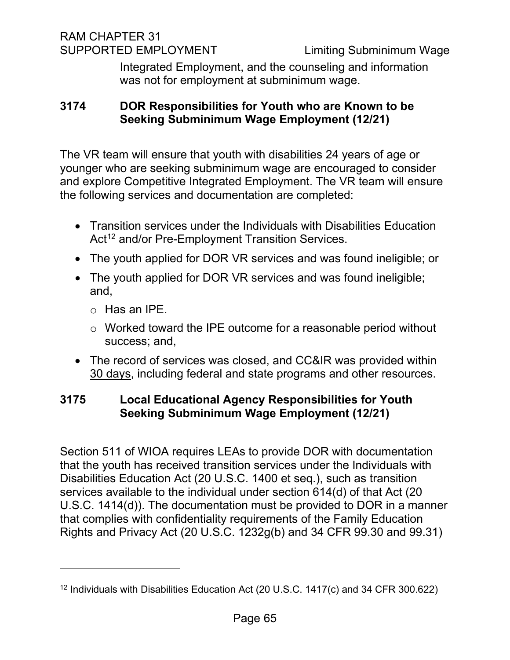RAM CHAPTER 31 SUPPORTED EMPLOYMENT Limiting Subminimum Wage

Integrated Employment, and the counseling and information was not for employment at subminimum wage.

# <span id="page-64-0"></span>**3174 DOR Responsibilities for Youth who are Known to be Seeking Subminimum Wage Employment (12/21)**

The VR team will ensure that youth with disabilities 24 years of age or younger who are seeking subminimum wage are encouraged to consider and explore Competitive Integrated Employment. The VR team will ensure the following services and documentation are completed:

- Transition services under the Individuals with Disabilities Education Act<sup>[12](#page-64-2)</sup> and/or Pre-Employment Transition Services.
- The youth applied for DOR VR services and was found ineligible; or
- The youth applied for DOR VR services and was found ineligible; and,
	- o Has an IPE.
	- o Worked toward the IPE outcome for a reasonable period without success; and,
- The record of services was closed, and CC&IR was provided within 30 days, including federal and state programs and other resources.

# <span id="page-64-1"></span>**3175 Local Educational Agency Responsibilities for Youth Seeking Subminimum Wage Employment (12/21)**

Section 511 of WIOA requires LEAs to provide DOR with documentation that the youth has received transition services under the Individuals with Disabilities Education Act (20 U.S.C. 1400 et seq.), such as transition services available to the individual under section 614(d) of that Act (20 U.S.C. 1414(d)). The documentation must be provided to DOR in a manner that complies with confidentiality requirements of the Family Education Rights and Privacy Act (20 U.S.C. 1232g(b) and 34 CFR 99.30 and 99.31)

<span id="page-64-2"></span><sup>12</sup> Individuals with Disabilities Education Act (20 U.S.C. 1417(c) and 34 CFR 300.622)